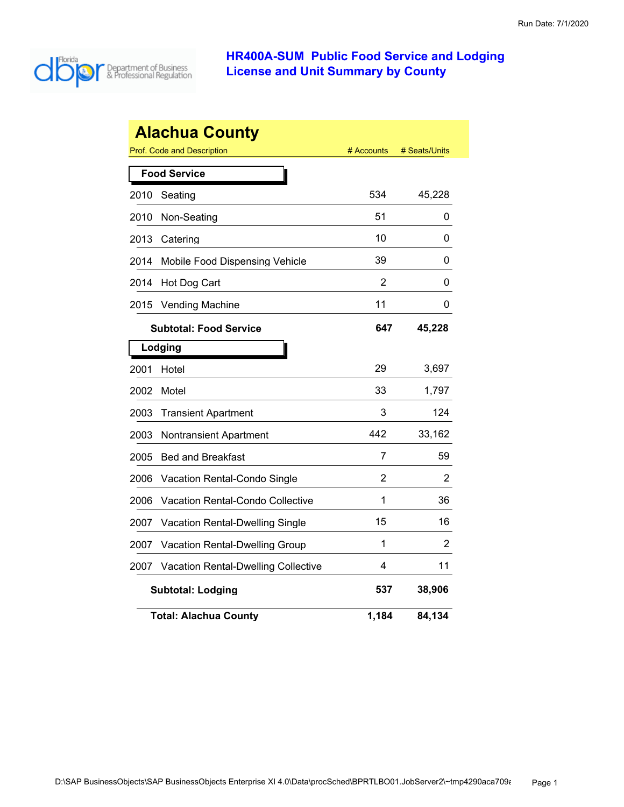

| <b>Alachua County</b> |                                            |            |               |
|-----------------------|--------------------------------------------|------------|---------------|
|                       | <b>Prof. Code and Description</b>          | # Accounts | # Seats/Units |
|                       | <b>Food Service</b>                        |            |               |
| 2010                  | Seating                                    | 534        | 45,228        |
| 2010                  | Non-Seating                                | 51         | 0             |
| 2013                  | Catering                                   | 10         | 0             |
| 2014                  | Mobile Food Dispensing Vehicle             | 39         | 0             |
| 2014                  | Hot Dog Cart                               | 2          | 0             |
| 2015                  | <b>Vending Machine</b>                     | 11         | 0             |
|                       | <b>Subtotal: Food Service</b>              | 647        | 45,228        |
|                       | Lodging                                    |            |               |
| 2001                  | Hotel                                      | 29         | 3,697         |
| 2002                  | Motel                                      | 33         | 1,797         |
| 2003                  | <b>Transient Apartment</b>                 | 3          | 124           |
| 2003                  | Nontransient Apartment                     | 442        | 33,162        |
| 2005                  | <b>Bed and Breakfast</b>                   | 7          | 59            |
| 2006                  | Vacation Rental-Condo Single               | 2          | 2             |
| 2006                  | <b>Vacation Rental-Condo Collective</b>    | 1          | 36            |
| 2007                  | Vacation Rental-Dwelling Single            | 15         | 16            |
| 2007                  | <b>Vacation Rental-Dwelling Group</b>      | 1          | 2             |
| 2007                  | <b>Vacation Rental-Dwelling Collective</b> | 4          | 11            |
|                       | <b>Subtotal: Lodging</b>                   | 537        | 38,906        |
|                       | <b>Total: Alachua County</b>               | 1,184      | 84,134        |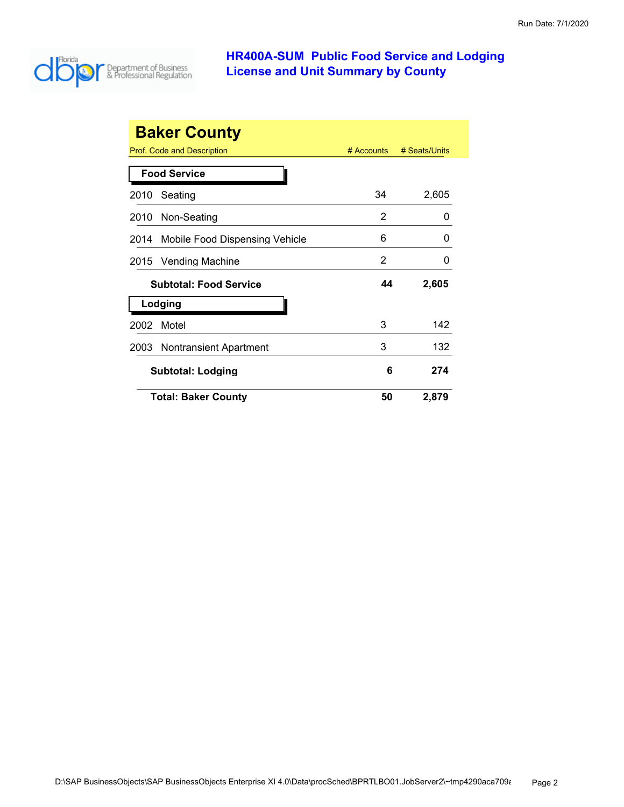

|      | <b>Baker County</b><br>Prof. Code and Description | # Accounts | # Seats/Units |
|------|---------------------------------------------------|------------|---------------|
|      | <b>Food Service</b>                               |            |               |
| 2010 | Seating                                           | 34         | 2,605         |
| 2010 | Non-Seating                                       | 2          | 0             |
| 2014 | Mobile Food Dispensing Vehicle                    | 6          | 0             |
|      | 2015 Vending Machine                              | 2          | O             |
|      | <b>Subtotal: Food Service</b>                     | 44         | 2,605         |
|      | Lodging                                           |            |               |
| 2002 | Motel                                             | 3          | 142           |
| 2003 | Nontransient Apartment                            | 3          | 132           |
|      | <b>Subtotal: Lodging</b>                          | 6          | 274           |
|      | <b>Total: Baker County</b>                        | 50         | 2,879         |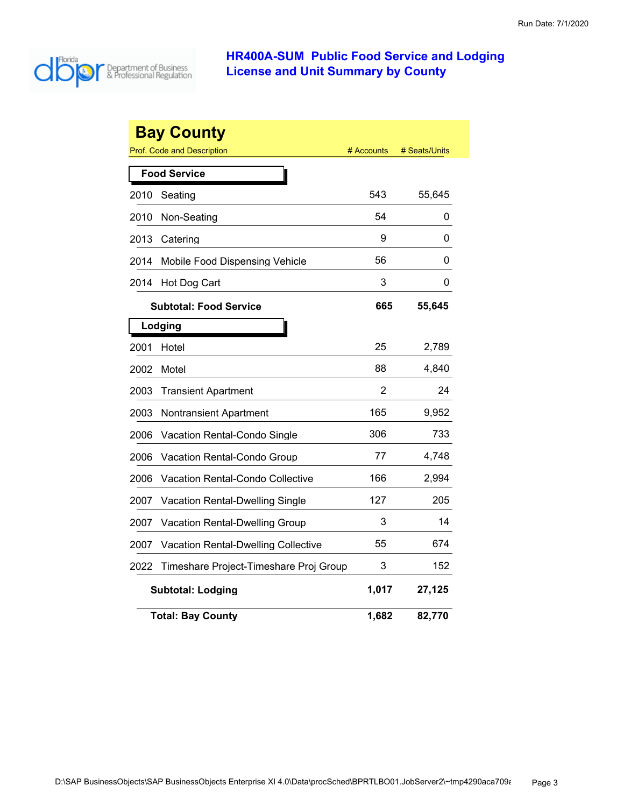

|      | <b>Bay County</b><br>Prof. Code and Description | # Accounts | # Seats/Units |
|------|-------------------------------------------------|------------|---------------|
|      | <b>Food Service</b>                             |            |               |
| 2010 | Seating                                         | 543        | 55,645        |
| 2010 | Non-Seating                                     | 54         | 0             |
| 2013 | Catering                                        | 9          | 0             |
| 2014 | Mobile Food Dispensing Vehicle                  | 56         | 0             |
| 2014 | Hot Dog Cart                                    | 3          | 0             |
|      | <b>Subtotal: Food Service</b>                   | 665        | 55,645        |
|      | Lodging                                         |            |               |
| 2001 | Hotel                                           | 25         | 2,789         |
| 2002 | Motel                                           | 88         | 4,840         |
| 2003 | <b>Transient Apartment</b>                      | 2          | 24            |
| 2003 | <b>Nontransient Apartment</b>                   | 165        | 9,952         |
| 2006 | Vacation Rental-Condo Single                    | 306        | 733           |
| 2006 | Vacation Rental-Condo Group                     | 77         | 4,748         |
| 2006 | Vacation Rental-Condo Collective                | 166        | 2,994         |
| 2007 | <b>Vacation Rental-Dwelling Single</b>          | 127        | 205           |
| 2007 | Vacation Rental-Dwelling Group                  | 3          | 14            |
| 2007 | <b>Vacation Rental-Dwelling Collective</b>      | 55         | 674           |
| 2022 | Timeshare Project-Timeshare Proj Group          | 3          | 152           |
|      | <b>Subtotal: Lodging</b>                        | 1,017      | 27,125        |
|      | <b>Total: Bay County</b>                        | 1,682      | 82,770        |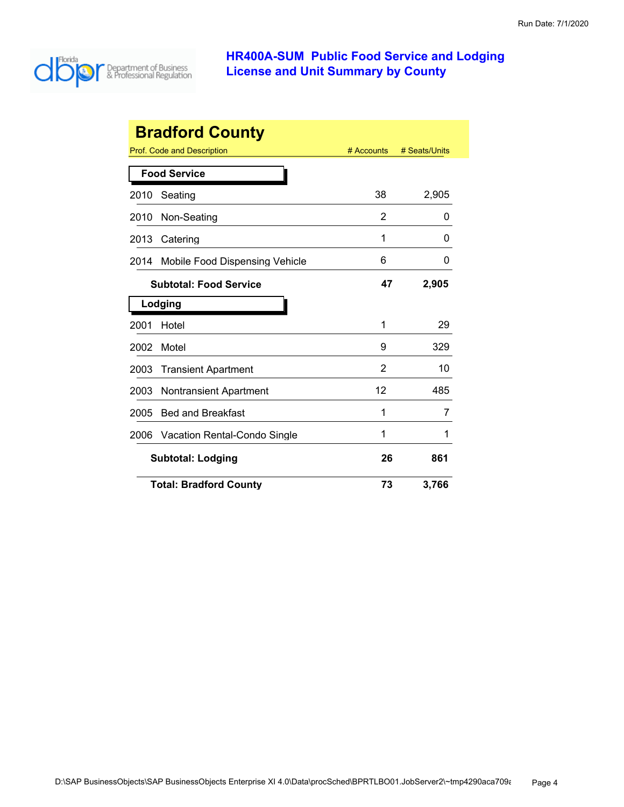

| <b>Bradford County</b> |                                |            |               |
|------------------------|--------------------------------|------------|---------------|
|                        | Prof. Code and Description     | # Accounts | # Seats/Units |
|                        | <b>Food Service</b>            |            |               |
| 2010                   | Seating                        | 38         | 2,905         |
| 2010                   | Non-Seating                    | 2          | O             |
| 2013                   | Catering                       | 1          | O             |
| 2014                   | Mobile Food Dispensing Vehicle | 6          | 0             |
|                        | <b>Subtotal: Food Service</b>  | 47         | 2,905         |
|                        | Lodging                        |            |               |
| 2001                   | Hotel                          | 1          | 29            |
| 2002                   | Motel                          | 9          | 329           |
| 2003                   | <b>Transient Apartment</b>     | 2          | 10            |
| 2003                   | <b>Nontransient Apartment</b>  | 12         | 485           |
| 2005                   | <b>Bed and Breakfast</b>       | 1          | 7             |
| 2006                   | Vacation Rental-Condo Single   | 1          | 1             |
|                        | <b>Subtotal: Lodging</b>       |            | 861           |
|                        | <b>Total: Bradford County</b>  | 73         | 3,766         |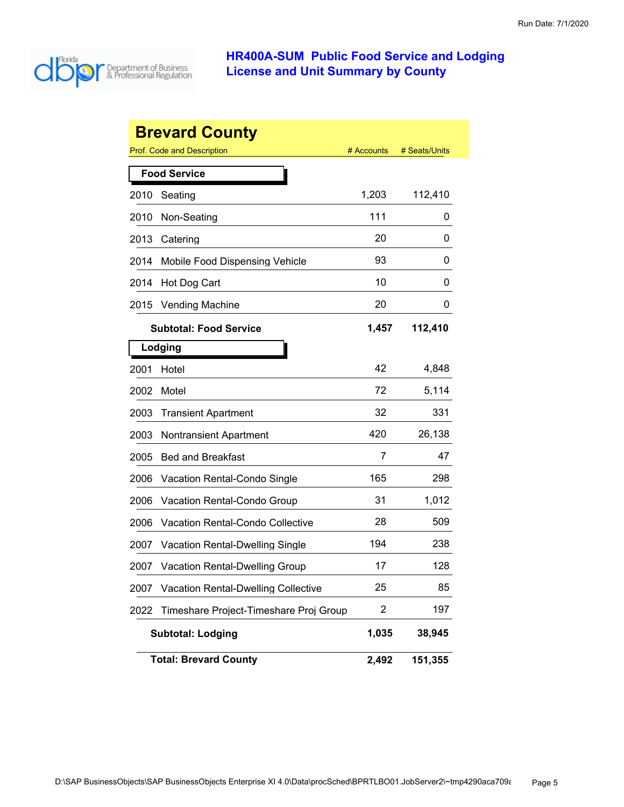

|      | <b>Brevard County</b>                      |            |               |
|------|--------------------------------------------|------------|---------------|
|      | Prof. Code and Description                 | # Accounts | # Seats/Units |
|      | <b>Food Service</b>                        |            |               |
| 2010 | Seating                                    | 1,203      | 112,410       |
| 2010 | Non-Seating                                | 111        | 0             |
| 2013 | Catering                                   | 20         | 0             |
| 2014 | Mobile Food Dispensing Vehicle             | 93         | 0             |
| 2014 | Hot Dog Cart                               | 10         | 0             |
| 2015 | <b>Vending Machine</b>                     | 20         | 0             |
|      | <b>Subtotal: Food Service</b>              | 1,457      | 112,410       |
|      | Lodging                                    |            |               |
| 2001 | Hotel                                      | 42         | 4,848         |
| 2002 | Motel                                      | 72         | 5,114         |
| 2003 | <b>Transient Apartment</b>                 | 32         | 331           |
| 2003 | <b>Nontransient Apartment</b>              | 420        | 26,138        |
| 2005 | <b>Bed and Breakfast</b>                   | 7          | 47            |
| 2006 | Vacation Rental-Condo Single               | 165        | 298           |
| 2006 | Vacation Rental-Condo Group                | 31         | 1,012         |
| 2006 | <b>Vacation Rental-Condo Collective</b>    | 28         | 509           |
| 2007 | <b>Vacation Rental-Dwelling Single</b>     | 194        | 238           |
| 2007 | <b>Vacation Rental-Dwelling Group</b>      | 17         | 128           |
| 2007 | <b>Vacation Rental-Dwelling Collective</b> | 25         | 85            |
| 2022 | Timeshare Project-Timeshare Proj Group     | 2          | 197           |
|      | <b>Subtotal: Lodging</b>                   | 1,035      | 38,945        |
|      | <b>Total: Brevard County</b>               | 2,492      | 151,355       |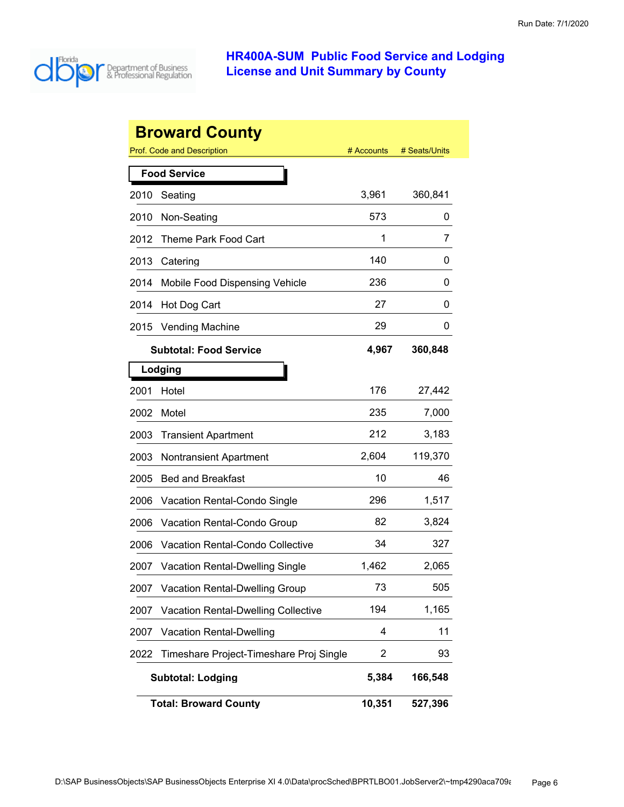

|      | <b>Broward County</b>                      |                |               |
|------|--------------------------------------------|----------------|---------------|
|      | Prof. Code and Description                 | # Accounts     | # Seats/Units |
|      | <b>Food Service</b>                        |                |               |
| 2010 | Seating                                    | 3,961          | 360,841       |
| 2010 | Non-Seating                                | 573            | 0             |
| 2012 | Theme Park Food Cart                       | 1              | 7             |
| 2013 | Catering                                   | 140            | 0             |
| 2014 | Mobile Food Dispensing Vehicle             | 236            | 0             |
| 2014 | Hot Dog Cart                               | 27             | 0             |
| 2015 | <b>Vending Machine</b>                     | 29             | O             |
|      | <b>Subtotal: Food Service</b>              | 4,967          | 360,848       |
|      | Lodging                                    |                |               |
| 2001 | Hotel                                      | 176            | 27,442        |
| 2002 | Motel                                      | 235            | 7,000         |
| 2003 | <b>Transient Apartment</b>                 | 212            | 3,183         |
| 2003 | <b>Nontransient Apartment</b>              | 2,604          | 119,370       |
| 2005 | <b>Bed and Breakfast</b>                   | 10             | 46            |
| 2006 | Vacation Rental-Condo Single               | 296            | 1,517         |
| 2006 | Vacation Rental-Condo Group                | 82             | 3,824         |
| 2006 | Vacation Rental-Condo Collective           | 34             | 327           |
| 2007 | <b>Vacation Rental-Dwelling Single</b>     | 1,462          | 2,065         |
| 2007 | <b>Vacation Rental-Dwelling Group</b>      | 73             | 505           |
| 2007 | <b>Vacation Rental-Dwelling Collective</b> | 194            | 1,165         |
| 2007 | <b>Vacation Rental-Dwelling</b>            | 4              | 11            |
| 2022 | Timeshare Project-Timeshare Proj Single    | $\overline{2}$ | 93            |
|      | <b>Subtotal: Lodging</b>                   | 5,384          | 166,548       |
|      | <b>Total: Broward County</b>               | 10,351         | 527,396       |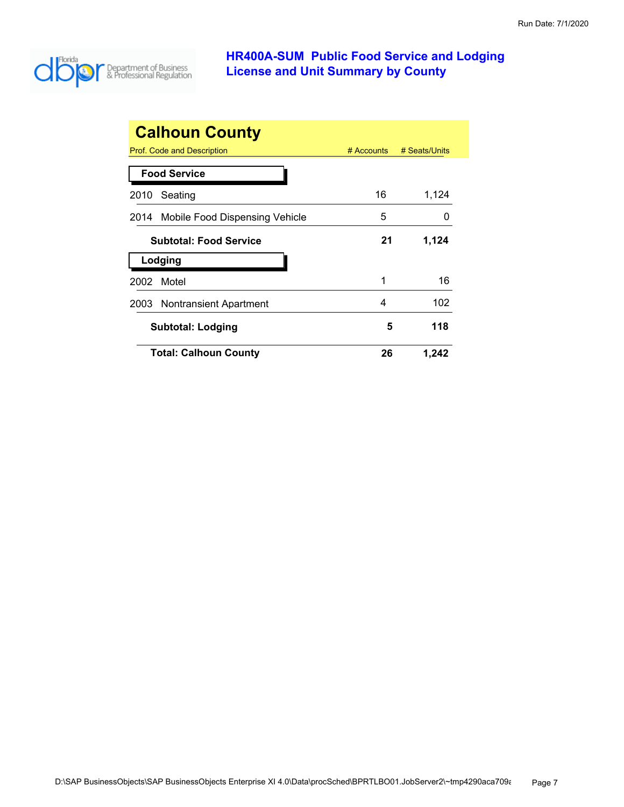

| <b>Calhoun County</b>               |              |               |
|-------------------------------------|--------------|---------------|
| Prof. Code and Description          | $#$ Accounts | # Seats/Units |
| <b>Food Service</b>                 |              |               |
| Seating<br>2010                     | 16           | 1,124         |
| 2014 Mobile Food Dispensing Vehicle | 5            |               |
| <b>Subtotal: Food Service</b>       | 21           | 1,124         |
| Lodging                             |              |               |
| Motel<br>2002                       | 1            | 16            |
| Nontransient Apartment<br>2003      | 4            | 102           |
| Subtotal: Lodging                   | 5            | 118           |
| <b>Total: Calhoun County</b>        | 26           | 1,242         |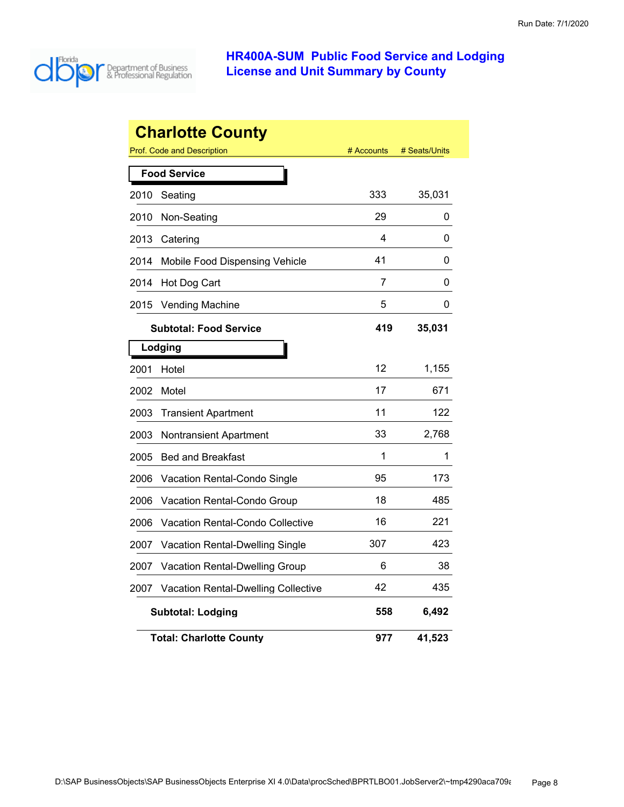

|      | <b>Charlotte County</b>                    |            |               |
|------|--------------------------------------------|------------|---------------|
|      | Prof. Code and Description                 | # Accounts | # Seats/Units |
|      | <b>Food Service</b>                        |            |               |
| 2010 | Seating                                    | 333        | 35,031        |
| 2010 | Non-Seating                                | 29         | 0             |
| 2013 | Catering                                   | 4          | 0             |
| 2014 | Mobile Food Dispensing Vehicle             | 41         | 0             |
| 2014 | Hot Dog Cart                               | 7          | 0             |
| 2015 | <b>Vending Machine</b>                     | 5          | 0             |
|      | <b>Subtotal: Food Service</b>              | 419        | 35,031        |
|      | Lodging                                    |            |               |
| 2001 | Hotel                                      | 12         | 1,155         |
| 2002 | Motel                                      | 17         | 671           |
| 2003 | <b>Transient Apartment</b>                 | 11         | 122           |
| 2003 | Nontransient Apartment                     | 33         | 2.768         |
| 2005 | <b>Bed and Breakfast</b>                   | 1          | 1             |
| 2006 | <b>Vacation Rental-Condo Single</b>        | 95         | 173           |
| 2006 | Vacation Rental-Condo Group                | 18         | 485           |
| 2006 | Vacation Rental-Condo Collective           | 16         | 221           |
| 2007 | Vacation Rental-Dwelling Single            | 307        | 423           |
| 2007 | <b>Vacation Rental-Dwelling Group</b>      | 6          | 38            |
| 2007 | <b>Vacation Rental-Dwelling Collective</b> | 42         | 435           |
|      | <b>Subtotal: Lodging</b>                   | 558        | 6,492         |
|      | <b>Total: Charlotte County</b>             | 977        | 41,523        |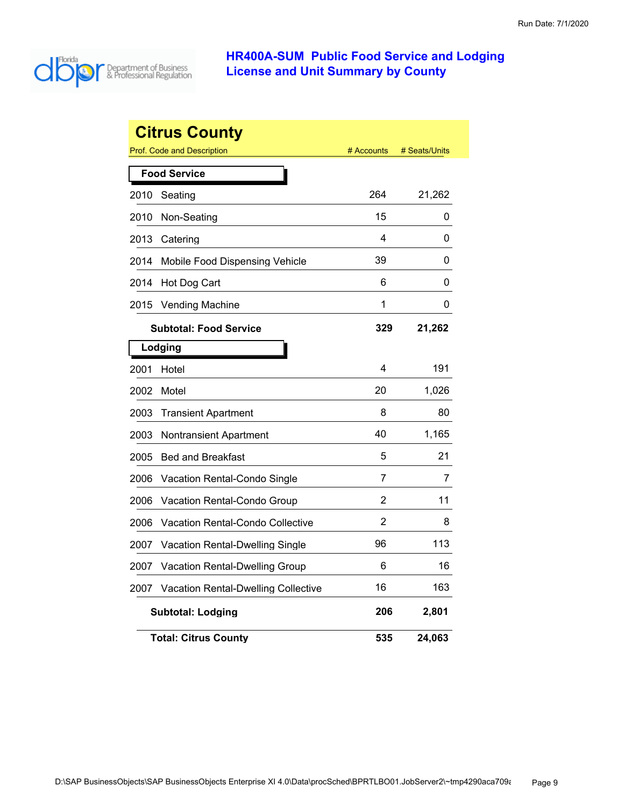

|      | <b>Citrus County</b>                |            |               |
|------|-------------------------------------|------------|---------------|
|      | <b>Prof. Code and Description</b>   | # Accounts | # Seats/Units |
|      | <b>Food Service</b>                 |            |               |
| 2010 | Seating                             | 264        | 21,262        |
| 2010 | Non-Seating                         | 15         | 0             |
| 2013 | Catering                            | 4          | 0             |
| 2014 | Mobile Food Dispensing Vehicle      | 39         | 0             |
| 2014 | Hot Dog Cart                        | 6          | 0             |
| 2015 | <b>Vending Machine</b>              | 1          | 0             |
|      | <b>Subtotal: Food Service</b>       | 329        | 21,262        |
|      | Lodging                             |            |               |
| 2001 | Hotel                               | 4          | 191           |
| 2002 | Motel                               | 20         | 1,026         |
| 2003 | <b>Transient Apartment</b>          | 8          | 80            |
| 2003 | <b>Nontransient Apartment</b>       | 40         | 1,165         |
| 2005 | <b>Bed and Breakfast</b>            | 5          | 21            |
| 2006 | Vacation Rental-Condo Single        | 7          | 7             |
| 2006 | Vacation Rental-Condo Group         | 2          | 11            |
| 2006 | Vacation Rental-Condo Collective    | 2          | 8             |
| 2007 | Vacation Rental-Dwelling Single     | 96         | 113           |
| 2007 | Vacation Rental-Dwelling Group      | 6          | 16            |
| 2007 | Vacation Rental-Dwelling Collective | 16         | 163           |
|      | <b>Subtotal: Lodging</b>            | 206        | 2,801         |
|      | <b>Total: Citrus County</b>         | 535        | 24,063        |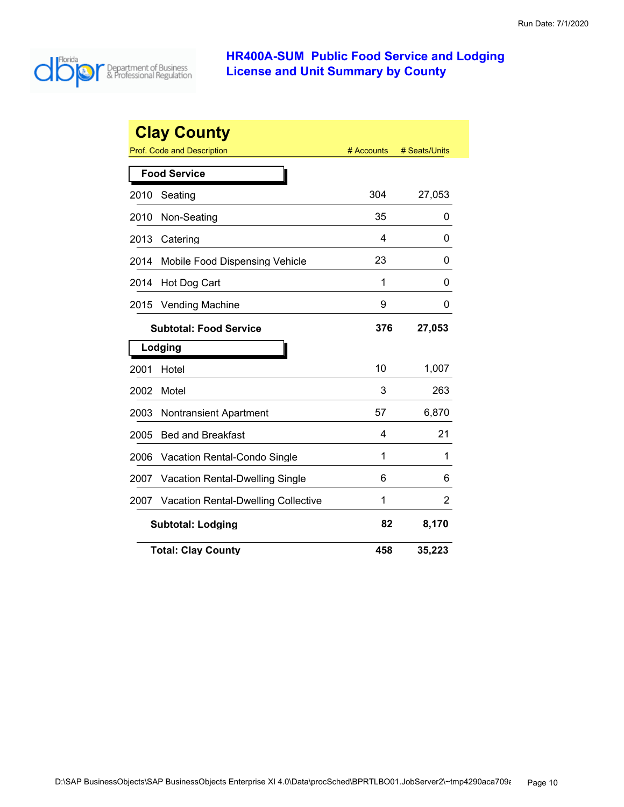

|      | <b>Clay County</b><br>Prof. Code and Description | # Accounts | # Seats/Units |
|------|--------------------------------------------------|------------|---------------|
|      | <b>Food Service</b>                              |            |               |
| 2010 | Seating                                          | 304        | 27,053        |
| 2010 | Non-Seating                                      | 35         | 0             |
| 2013 | Catering                                         | 4          | 0             |
| 2014 | Mobile Food Dispensing Vehicle                   | 23         | 0             |
| 2014 | Hot Dog Cart                                     | 1          | 0             |
| 2015 | <b>Vending Machine</b>                           | 9          | 0             |
|      | <b>Subtotal: Food Service</b>                    | 376        | 27,053        |
|      | Lodging                                          |            |               |
| 2001 | Hotel                                            | 10         | 1,007         |
| 2002 | Motel                                            | 3          | 263           |
| 2003 | <b>Nontransient Apartment</b>                    | 57         | 6,870         |
| 2005 | <b>Bed and Breakfast</b>                         | 4          | 21            |
| 2006 | Vacation Rental-Condo Single                     | 1          | 1             |
| 2007 | Vacation Rental-Dwelling Single                  | 6          | 6             |
| 2007 | <b>Vacation Rental-Dwelling Collective</b>       | 1          | 2             |
|      | <b>Subtotal: Lodging</b>                         | 82         | 8,170         |
|      | <b>Total: Clay County</b>                        | 458        | 35,223        |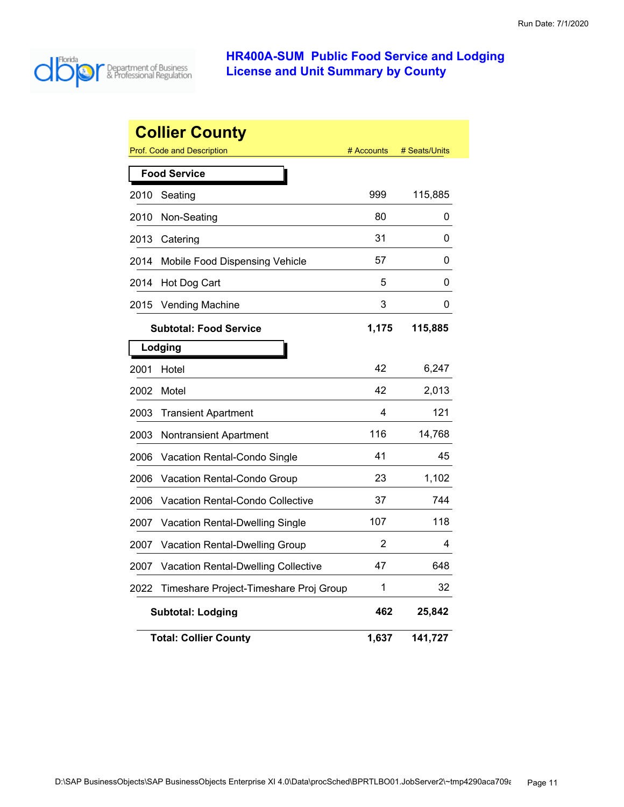

|      | <b>Collier County</b>                  |            |               |
|------|----------------------------------------|------------|---------------|
|      | <b>Prof. Code and Description</b>      | # Accounts | # Seats/Units |
|      | <b>Food Service</b>                    |            |               |
| 2010 | Seating                                | 999        | 115,885       |
| 2010 | Non-Seating                            | 80         | 0             |
| 2013 | Catering                               | 31         | 0             |
| 2014 | Mobile Food Dispensing Vehicle         | 57         | 0             |
| 2014 | Hot Dog Cart                           | 5          | 0             |
| 2015 | <b>Vending Machine</b>                 | 3          | 0             |
|      | <b>Subtotal: Food Service</b>          | 1,175      | 115,885       |
|      | Lodging                                |            |               |
| 2001 | Hotel                                  | 42         | 6,247         |
| 2002 | Motel                                  | 42         | 2,013         |
| 2003 | <b>Transient Apartment</b>             | 4          | 121           |
| 2003 | Nontransient Apartment                 | 116        | 14,768        |
| 2006 | Vacation Rental-Condo Single           | 41         | 45            |
| 2006 | Vacation Rental-Condo Group            | 23         | 1,102         |
| 2006 | Vacation Rental-Condo Collective       | 37         | 744           |
| 2007 | Vacation Rental-Dwelling Single        | 107        | 118           |
| 2007 | Vacation Rental-Dwelling Group         | 2          | 4             |
| 2007 | Vacation Rental-Dwelling Collective    | 47         | 648           |
| 2022 | Timeshare Project-Timeshare Proj Group | 1          | 32            |
|      | <b>Subtotal: Lodging</b>               | 462        | 25,842        |
|      | <b>Total: Collier County</b>           | 1,637      | 141,727       |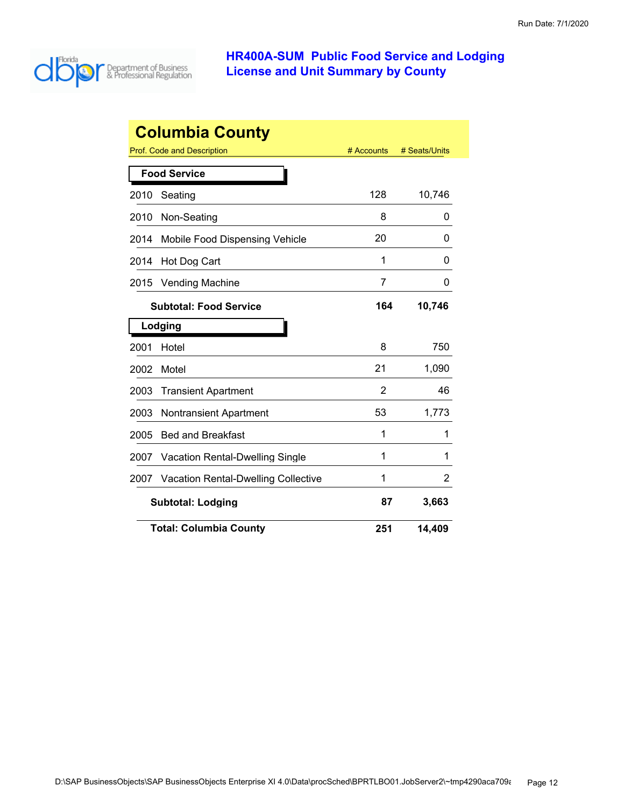

| <b>Columbia County</b> |                                            |            |               |
|------------------------|--------------------------------------------|------------|---------------|
|                        | <b>Prof. Code and Description</b>          | # Accounts | # Seats/Units |
|                        | <b>Food Service</b>                        |            |               |
| 2010                   | Seating                                    | 128        | 10,746        |
| 2010                   | Non-Seating                                | 8          | 0             |
| 2014                   | Mobile Food Dispensing Vehicle             | 20         | 0             |
| 2014                   | Hot Dog Cart                               | 1          | O             |
| 2015                   | <b>Vending Machine</b>                     | 7          | 0             |
|                        | <b>Subtotal: Food Service</b>              | 164        | 10,746        |
|                        | Lodging                                    |            |               |
| 2001                   | Hotel                                      | 8          | 750           |
| 2002                   | Motel                                      | 21         | 1,090         |
| 2003                   | <b>Transient Apartment</b>                 | 2          | 46            |
| 2003                   | <b>Nontransient Apartment</b>              | 53         | 1,773         |
| 2005                   | <b>Bed and Breakfast</b>                   | 1          | 1             |
| 2007                   | <b>Vacation Rental-Dwelling Single</b>     | 1          | 1             |
| 2007                   | <b>Vacation Rental-Dwelling Collective</b> | 1          | 2             |
|                        | <b>Subtotal: Lodging</b>                   | 87         | 3,663         |
|                        | <b>Total: Columbia County</b>              | 251        | 14,409        |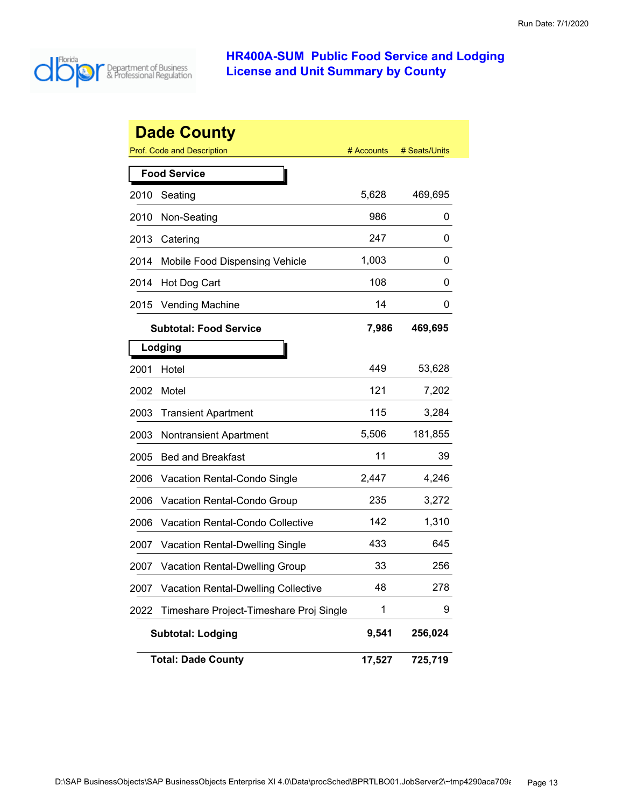

|      | <b>Dade County</b>                         |            |               |
|------|--------------------------------------------|------------|---------------|
|      | <b>Prof. Code and Description</b>          | # Accounts | # Seats/Units |
|      | <b>Food Service</b>                        |            |               |
| 2010 | Seating                                    | 5,628      | 469,695       |
| 2010 | Non-Seating                                | 986        | 0             |
| 2013 | Catering                                   | 247        | 0             |
| 2014 | Mobile Food Dispensing Vehicle             | 1,003      | 0             |
| 2014 | Hot Dog Cart                               | 108        | 0             |
| 2015 | <b>Vending Machine</b>                     | 14         | 0             |
|      | <b>Subtotal: Food Service</b>              | 7,986      | 469,695       |
|      | Lodging                                    |            |               |
| 2001 | Hotel                                      | 449        | 53,628        |
| 2002 | Motel                                      | 121        | 7,202         |
| 2003 | <b>Transient Apartment</b>                 | 115        | 3,284         |
| 2003 | <b>Nontransient Apartment</b>              | 5,506      | 181,855       |
| 2005 | <b>Bed and Breakfast</b>                   | 11         | 39            |
| 2006 | <b>Vacation Rental-Condo Single</b>        | 2,447      | 4,246         |
| 2006 | Vacation Rental-Condo Group                | 235        | 3,272         |
| 2006 | <b>Vacation Rental-Condo Collective</b>    | 142        | 1,310         |
| 2007 | <b>Vacation Rental-Dwelling Single</b>     | 433        | 645           |
| 2007 | <b>Vacation Rental-Dwelling Group</b>      | 33         | 256           |
| 2007 | <b>Vacation Rental-Dwelling Collective</b> | 48         | 278           |
| 2022 | Timeshare Project-Timeshare Proj Single    | 1          | 9             |
|      | <b>Subtotal: Lodging</b>                   | 9,541      | 256,024       |
|      | <b>Total: Dade County</b>                  | 17,527     | 725,719       |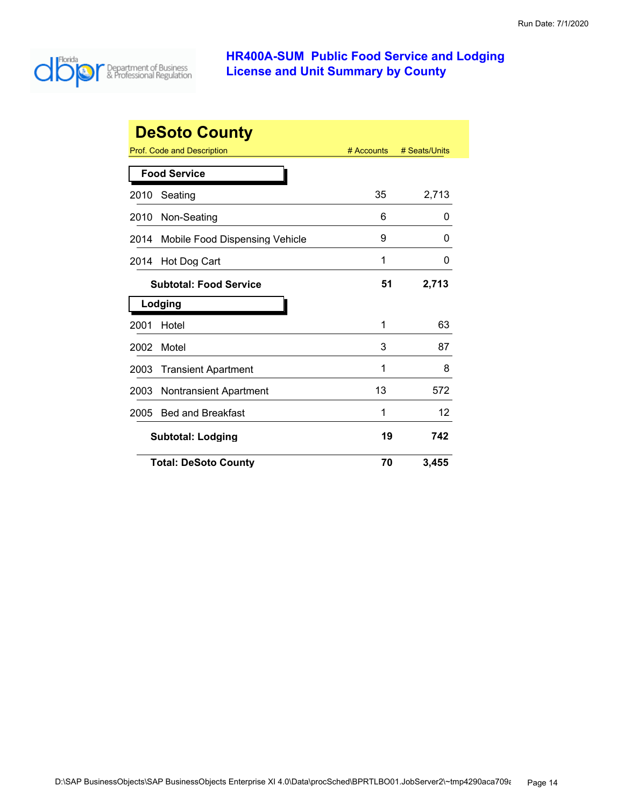

| <b>DeSoto County</b> |                                       |            |               |  |
|----------------------|---------------------------------------|------------|---------------|--|
|                      | Prof. Code and Description            | # Accounts | # Seats/Units |  |
|                      | <b>Food Service</b>                   |            |               |  |
| 2010                 | Seating                               | 35         | 2,713         |  |
| 2010                 | Non-Seating                           | 6          | 0             |  |
| 2014                 | Mobile Food Dispensing Vehicle        | 9          | O             |  |
| 2014                 | Hot Dog Cart                          | 1          | 0             |  |
|                      | <b>Subtotal: Food Service</b>         | 51         | 2,713         |  |
|                      | Lodging                               |            |               |  |
| 2001                 | Hotel                                 | 1          | 63            |  |
| 2002                 | Motel                                 | 3          | 87            |  |
| 2003                 | <b>Transient Apartment</b>            | 1          | 8             |  |
| 2003                 | <b>Nontransient Apartment</b>         | 13         | 572           |  |
| 2005                 | <b>Bed and Breakfast</b>              | 1          | 12            |  |
|                      | 19<br>742<br><b>Subtotal: Lodging</b> |            |               |  |
|                      | <b>Total: DeSoto County</b>           | 70         | 3,455         |  |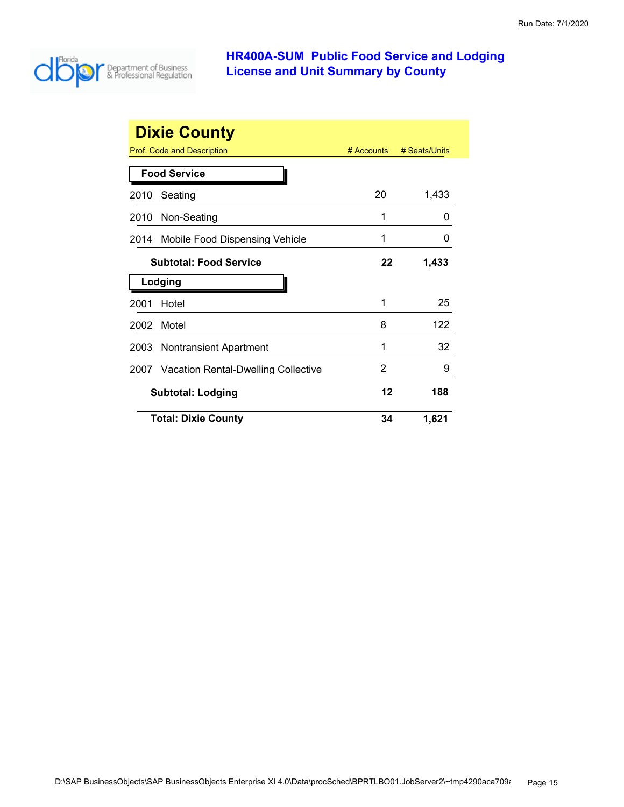

|                               | <b>Dixie County</b>                      |            |               |
|-------------------------------|------------------------------------------|------------|---------------|
|                               | <b>Prof. Code and Description</b>        | # Accounts | # Seats/Units |
|                               | <b>Food Service</b>                      |            |               |
| 2010                          | Seating                                  | 20         | 1,433         |
|                               | 2010 Non-Seating                         | 1          | O             |
| 2014                          | Mobile Food Dispensing Vehicle           | 1          | O             |
| <b>Subtotal: Food Service</b> |                                          | 22         | 1,433         |
|                               | Lodging                                  |            |               |
| 2001                          | Hotel                                    | 1          | 25            |
| 2002                          | Motel                                    | 8          | 122           |
| 2003                          | <b>Nontransient Apartment</b>            | 1          | 32            |
|                               | 2007 Vacation Rental-Dwelling Collective | 2          | 9             |
|                               | <b>Subtotal: Lodging</b>                 | 12         | 188           |
|                               | <b>Total: Dixie County</b>               | 34         | 1,621         |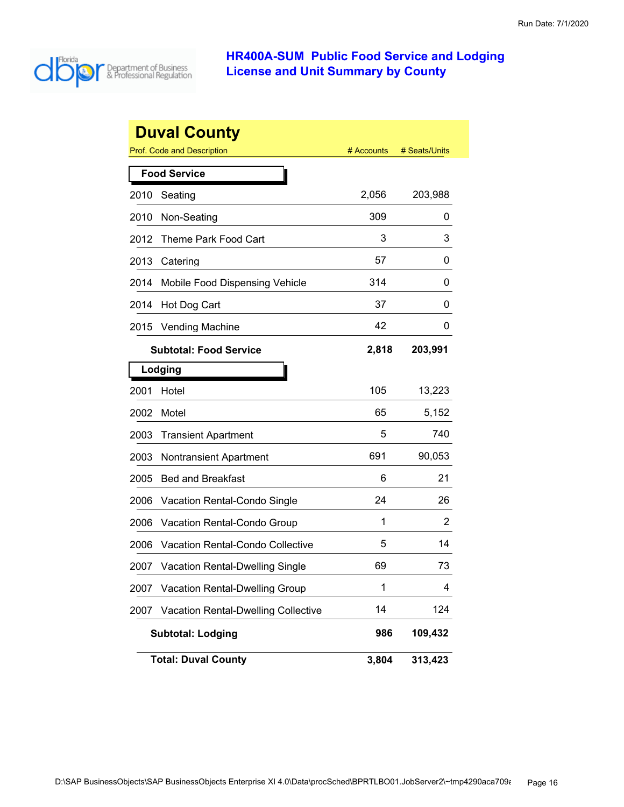

|      | <b>Duval County</b>                        |            |               |
|------|--------------------------------------------|------------|---------------|
|      | <b>Prof. Code and Description</b>          | # Accounts | # Seats/Units |
|      | <b>Food Service</b>                        |            |               |
| 2010 | Seating                                    | 2,056      | 203,988       |
| 2010 | Non-Seating                                | 309        | 0             |
| 2012 | <b>Theme Park Food Cart</b>                | 3          | 3             |
| 2013 | Catering                                   | 57         | 0             |
| 2014 | Mobile Food Dispensing Vehicle             | 314        | 0             |
| 2014 | Hot Dog Cart                               | 37         | 0             |
| 2015 | <b>Vending Machine</b>                     | 42         | 0             |
|      | <b>Subtotal: Food Service</b>              | 2,818      | 203,991       |
|      | Lodging                                    |            |               |
| 2001 | Hotel                                      | 105        | 13,223        |
| 2002 | Motel                                      | 65         | 5,152         |
| 2003 | <b>Transient Apartment</b>                 | 5          | 740           |
| 2003 | <b>Nontransient Apartment</b>              | 691        | 90,053        |
| 2005 | <b>Bed and Breakfast</b>                   | 6          | 21            |
| 2006 | Vacation Rental-Condo Single               | 24         | 26            |
| 2006 | Vacation Rental-Condo Group                | 1          | 2             |
| 2006 | Vacation Rental-Condo Collective           | 5          | 14            |
| 2007 | <b>Vacation Rental-Dwelling Single</b>     | 69         | 73            |
| 2007 | <b>Vacation Rental-Dwelling Group</b>      | 1          | 4             |
| 2007 | <b>Vacation Rental-Dwelling Collective</b> | 14         | 124           |
|      | <b>Subtotal: Lodging</b>                   | 986        | 109,432       |
|      | <b>Total: Duval County</b>                 | 3,804      | 313,423       |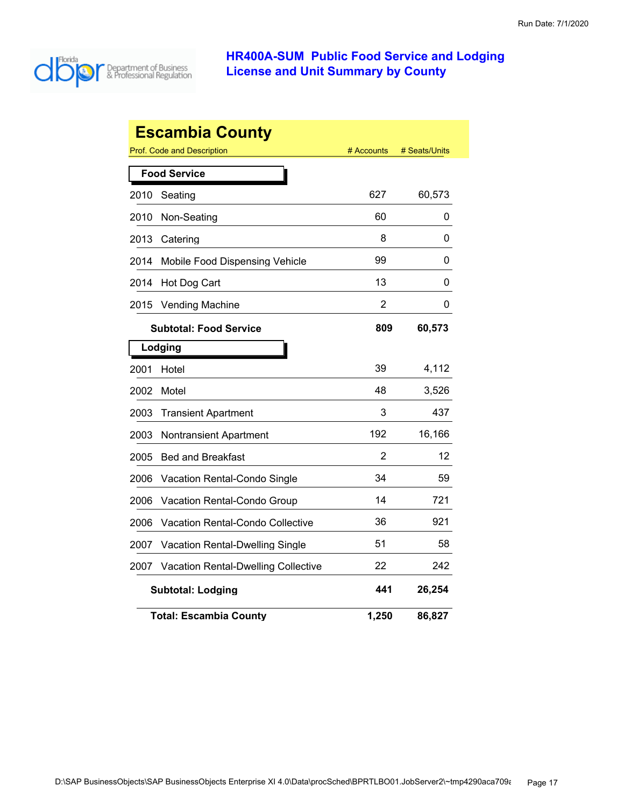

| <b>Escambia County</b> |                                        |                |               |  |
|------------------------|----------------------------------------|----------------|---------------|--|
|                        | Prof. Code and Description             | # Accounts     | # Seats/Units |  |
|                        | <b>Food Service</b>                    |                |               |  |
| 2010                   | Seating                                | 627            | 60,573        |  |
| 2010                   | Non-Seating                            | 60             | 0             |  |
| 2013                   | Catering                               | 8              | 0             |  |
| 2014                   | Mobile Food Dispensing Vehicle         | 99             | 0             |  |
| 2014                   | Hot Dog Cart                           | 13             | 0             |  |
| 2015                   | <b>Vending Machine</b>                 | $\overline{2}$ | 0             |  |
|                        | <b>Subtotal: Food Service</b>          | 809            | 60,573        |  |
|                        | Lodging                                |                |               |  |
| 2001                   | Hotel                                  | 39             | 4,112         |  |
| 2002                   | Motel                                  | 48             | 3,526         |  |
| 2003                   | <b>Transient Apartment</b>             | 3              | 437           |  |
| 2003                   | <b>Nontransient Apartment</b>          | 192            | 16,166        |  |
| 2005                   | <b>Bed and Breakfast</b>               | 2              | 12            |  |
| 2006                   | Vacation Rental-Condo Single           | 34             | 59            |  |
| 2006                   | Vacation Rental-Condo Group            | 14             | 721           |  |
| 2006                   | Vacation Rental-Condo Collective       | 36             | 921           |  |
| 2007                   | <b>Vacation Rental-Dwelling Single</b> | 51             | 58            |  |
| 2007                   | Vacation Rental-Dwelling Collective    | 22             | 242           |  |
|                        | <b>Subtotal: Lodging</b>               | 441            | 26,254        |  |
|                        | <b>Total: Escambia County</b>          | 1,250          | 86,827        |  |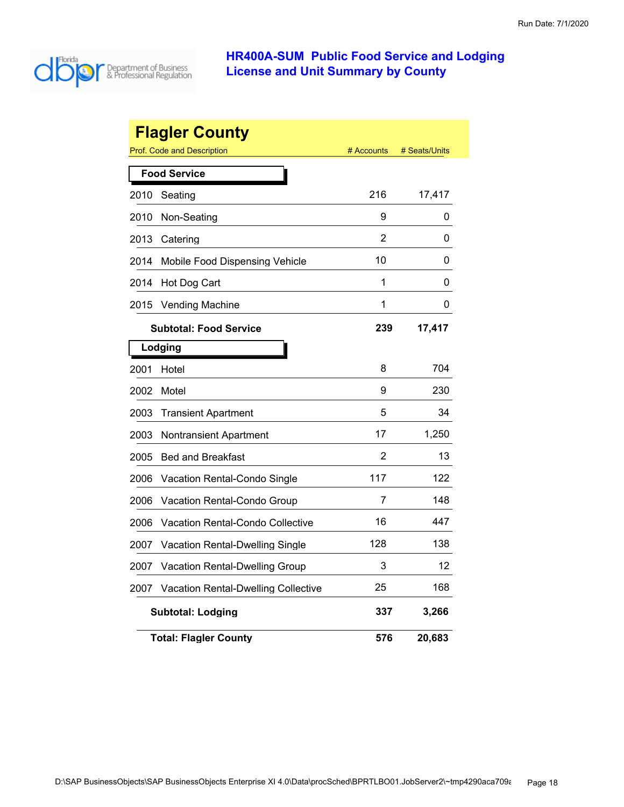

|      | <b>Flagler County</b><br>Prof. Code and Description | # Accounts | # Seats/Units |
|------|-----------------------------------------------------|------------|---------------|
|      | <b>Food Service</b>                                 |            |               |
| 2010 | Seating                                             | 216        | 17,417        |
| 2010 | Non-Seating                                         | 9          | 0             |
| 2013 | Catering                                            | 2          | 0             |
| 2014 | Mobile Food Dispensing Vehicle                      | 10         | 0             |
| 2014 | Hot Dog Cart                                        | 1          | 0             |
| 2015 | <b>Vending Machine</b>                              | 1          | 0             |
|      | <b>Subtotal: Food Service</b>                       | 239        | 17,417        |
|      | Lodging                                             |            |               |
| 2001 | Hotel                                               | 8          | 704           |
| 2002 | Motel                                               | 9          | 230           |
| 2003 | <b>Transient Apartment</b>                          | 5          | 34            |
| 2003 | <b>Nontransient Apartment</b>                       | 17         | 1,250         |
| 2005 | <b>Bed and Breakfast</b>                            | 2          | 13            |
| 2006 | Vacation Rental-Condo Single                        | 117        | 122           |
| 2006 | Vacation Rental-Condo Group                         | 7          | 148           |
| 2006 | Vacation Rental-Condo Collective                    | 16         | 447           |
| 2007 | Vacation Rental-Dwelling Single                     | 128        | 138           |
| 2007 | Vacation Rental-Dwelling Group                      | 3          | 12            |
| 2007 | <b>Vacation Rental-Dwelling Collective</b>          | 25         | 168           |
|      | <b>Subtotal: Lodging</b>                            | 337        | 3,266         |
|      | <b>Total: Flagler County</b>                        | 576        | 20,683        |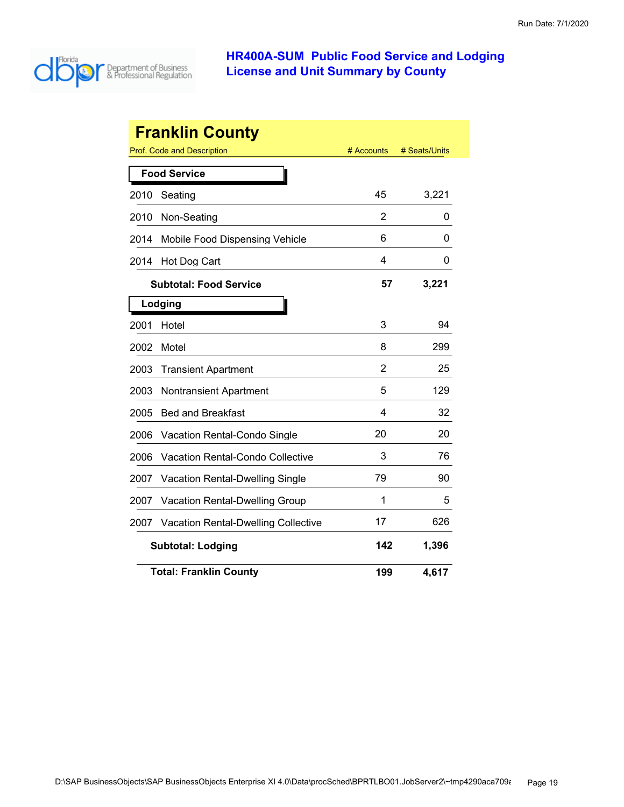

|      | <b>Franklin County</b>                     |                |               |
|------|--------------------------------------------|----------------|---------------|
|      | <b>Prof. Code and Description</b>          | # Accounts     | # Seats/Units |
|      | <b>Food Service</b>                        |                |               |
| 2010 | Seating                                    | 45             | 3,221         |
| 2010 | Non-Seating                                | 2              | 0             |
| 2014 | Mobile Food Dispensing Vehicle             | 6              | 0             |
| 2014 | Hot Dog Cart                               | 4              | 0             |
|      | <b>Subtotal: Food Service</b>              | 57             | 3,221         |
|      | Lodging                                    |                |               |
| 2001 | Hotel                                      | 3              | 94            |
| 2002 | Motel                                      | 8              | 299           |
| 2003 | <b>Transient Apartment</b>                 | $\overline{2}$ | 25            |
| 2003 | <b>Nontransient Apartment</b>              | 5              | 129           |
| 2005 | <b>Bed and Breakfast</b>                   | 4              | 32            |
| 2006 | Vacation Rental-Condo Single               | 20             | 20            |
| 2006 | <b>Vacation Rental-Condo Collective</b>    | 3              | 76            |
| 2007 | <b>Vacation Rental-Dwelling Single</b>     | 79             | 90            |
| 2007 | <b>Vacation Rental-Dwelling Group</b>      | 1              | 5             |
| 2007 | <b>Vacation Rental-Dwelling Collective</b> | 17             | 626           |
|      | <b>Subtotal: Lodging</b>                   | 142            | 1,396         |
|      | <b>Total: Franklin County</b>              | 199            | 4,617         |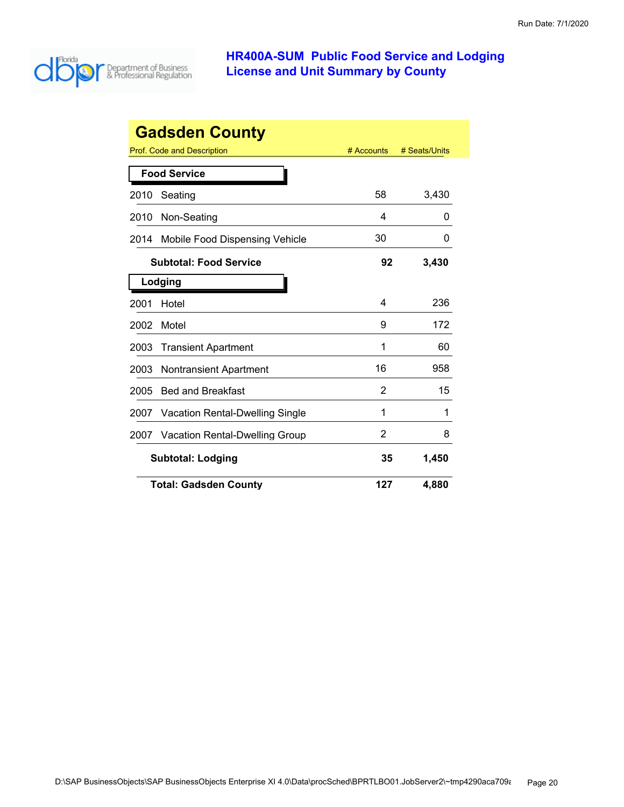

| <b>Gadsden County</b>                          |  |            |               |  |
|------------------------------------------------|--|------------|---------------|--|
| Prof. Code and Description                     |  | # Accounts | # Seats/Units |  |
| <b>Food Service</b>                            |  |            |               |  |
| Seating<br>2010                                |  | 58         | 3,430         |  |
| Non-Seating<br>2010                            |  | 4          | O             |  |
| Mobile Food Dispensing Vehicle<br>2014         |  | 30         | O             |  |
| <b>Subtotal: Food Service</b>                  |  | 92         | 3,430         |  |
| Lodging                                        |  |            |               |  |
| 2001<br>Hotel                                  |  | 4          | 236           |  |
| Motel<br>2002                                  |  | 9          | 172           |  |
| 2003<br><b>Transient Apartment</b>             |  | 1          | 60            |  |
| 2003<br><b>Nontransient Apartment</b>          |  | 16         | 958           |  |
| <b>Bed and Breakfast</b><br>2005               |  | 2          | 15            |  |
| <b>Vacation Rental-Dwelling Single</b><br>2007 |  | 1          | 1             |  |
| <b>Vacation Rental-Dwelling Group</b><br>2007  |  | 2          | 8             |  |
| <b>Subtotal: Lodging</b>                       |  | 35         | 1,450         |  |
| <b>Total: Gadsden County</b>                   |  | 127        | 4,880         |  |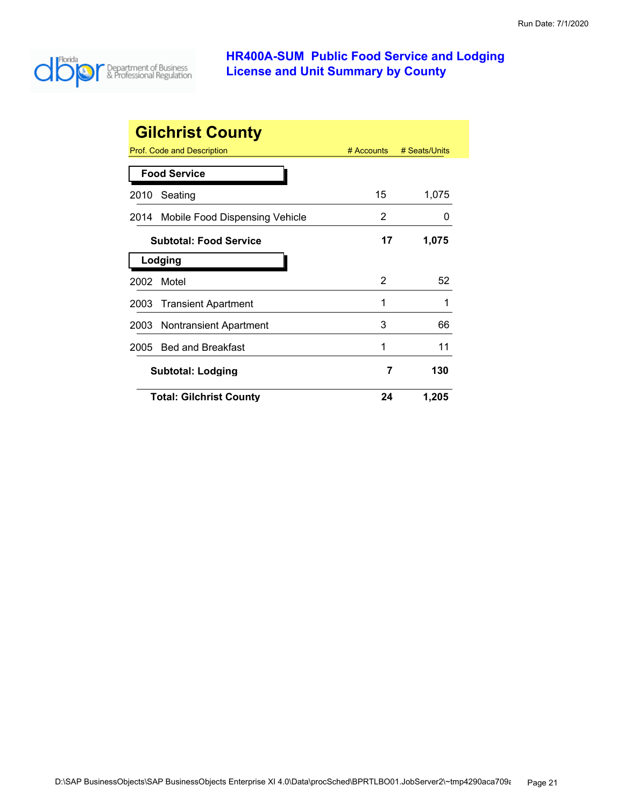

|      | <b>Gilchrist County</b>        |            |               |
|------|--------------------------------|------------|---------------|
|      | Prof. Code and Description     | # Accounts | # Seats/Units |
|      | <b>Food Service</b>            |            |               |
| 2010 | Seating                        | 15         | 1,075         |
| 2014 | Mobile Food Dispensing Vehicle | 2          |               |
|      | <b>Subtotal: Food Service</b>  | 17         | 1,075         |
|      | Lodging                        |            |               |
| 2002 | Motel                          | 2          | 52            |
| 2003 | <b>Transient Apartment</b>     | 1          | 1             |
| 2003 | Nontransient Apartment         | 3          | 66            |
| 2005 | <b>Bed and Breakfast</b>       | 1          | 11            |
|      | <b>Subtotal: Lodging</b>       | 7          | 130           |
|      | <b>Total: Gilchrist County</b> | 24         | 1,205         |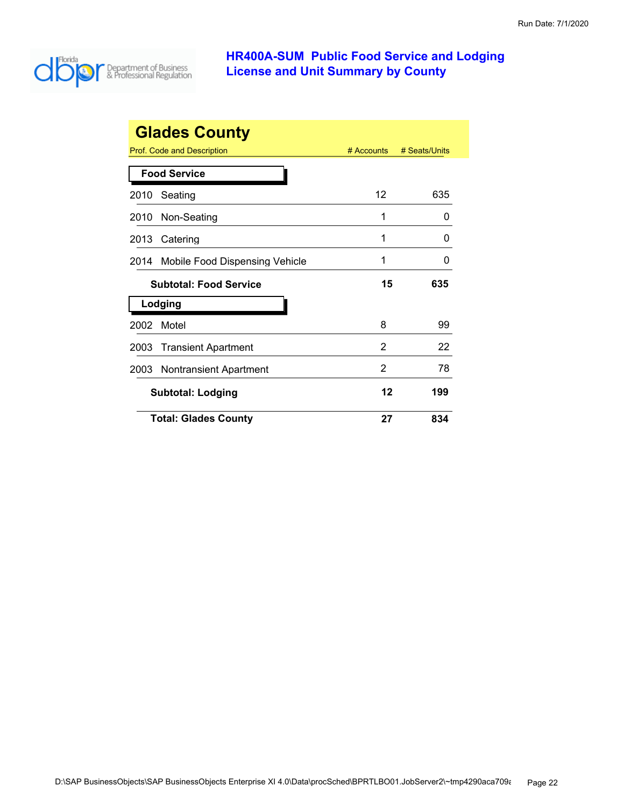

|      | <b>Glades County</b>           |              |               |
|------|--------------------------------|--------------|---------------|
|      | Prof. Code and Description     | $#$ Accounts | # Seats/Units |
|      | <b>Food Service</b>            |              |               |
| 2010 | Seating                        | 12           | 635           |
| 2010 | Non-Seating                    | 1            | 0             |
| 2013 | Catering                       | 1            | O             |
| 2014 | Mobile Food Dispensing Vehicle | 1            | ი             |
|      | <b>Subtotal: Food Service</b>  | 15           | 635           |
|      | Lodging                        |              |               |
| 2002 | Motel                          | 8            | 99            |
| 2003 | <b>Transient Apartment</b>     | 2            | 22            |
| 2003 | <b>Nontransient Apartment</b>  | 2            | 78            |
|      | <b>Subtotal: Lodging</b>       | 12           | 199           |
|      | <b>Total: Glades County</b>    | 27           | 834           |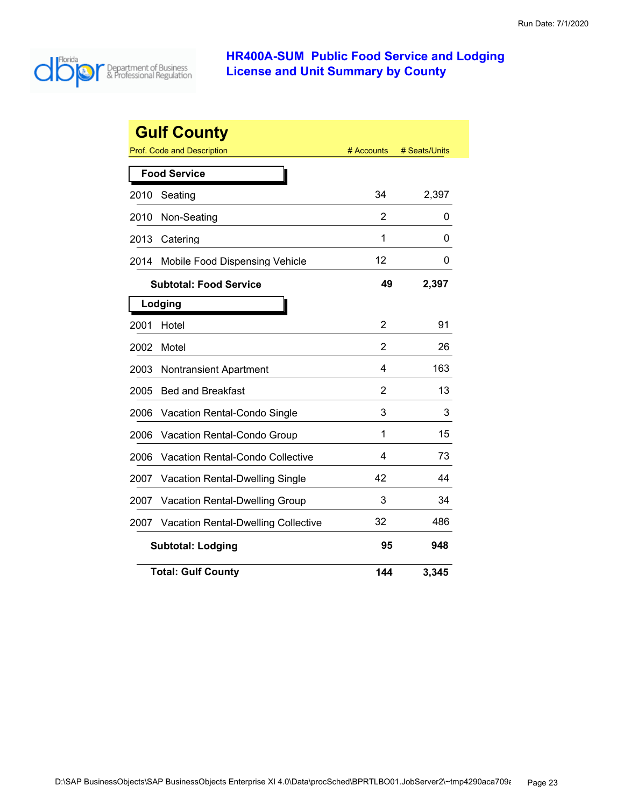

|      | <b>Gulf County</b>                         |                |               |
|------|--------------------------------------------|----------------|---------------|
|      | Prof. Code and Description                 | # Accounts     | # Seats/Units |
|      | <b>Food Service</b>                        |                |               |
| 2010 | Seating                                    | 34             | 2,397         |
| 2010 | Non-Seating                                | 2              | 0             |
| 2013 | Catering                                   | 1              | 0             |
| 2014 | Mobile Food Dispensing Vehicle             | 12             | 0             |
|      | <b>Subtotal: Food Service</b>              | 49             | 2,397         |
|      | Lodging                                    |                |               |
| 2001 | Hotel                                      | 2              | 91            |
| 2002 | Motel                                      | 2              | 26            |
| 2003 | <b>Nontransient Apartment</b>              | 4              | 163           |
| 2005 | <b>Bed and Breakfast</b>                   | $\overline{2}$ | 13            |
| 2006 | Vacation Rental-Condo Single               | 3              | 3             |
| 2006 | Vacation Rental-Condo Group                | 1              | 15            |
| 2006 | <b>Vacation Rental-Condo Collective</b>    | 4              | 73            |
| 2007 | Vacation Rental-Dwelling Single            | 42             | 44            |
| 2007 | Vacation Rental-Dwelling Group             | 3              | 34            |
| 2007 | <b>Vacation Rental-Dwelling Collective</b> | 32             | 486           |
|      | <b>Subtotal: Lodging</b>                   | 95             | 948           |
|      | <b>Total: Gulf County</b>                  | 144            | 3,345         |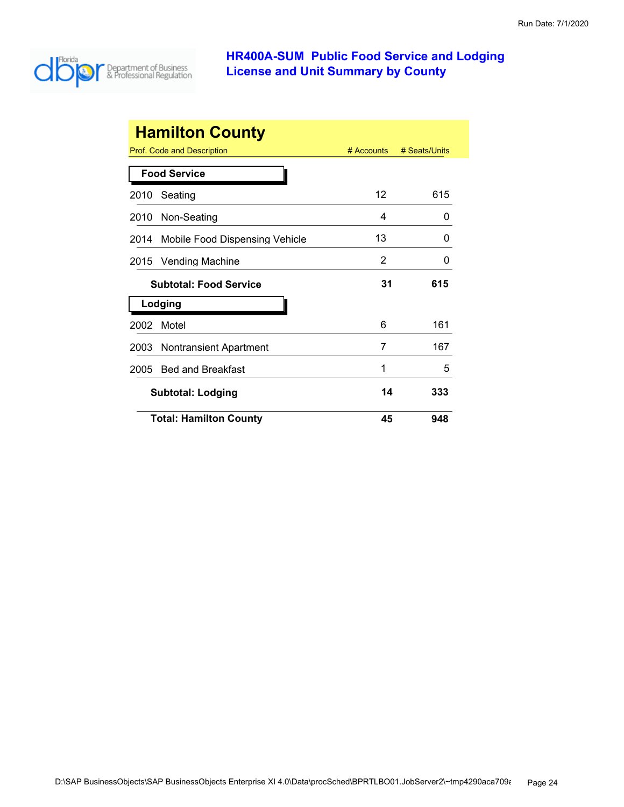

|      | <b>Hamilton County</b>            |              |               |
|------|-----------------------------------|--------------|---------------|
|      | <b>Prof. Code and Description</b> | $#$ Accounts | # Seats/Units |
|      | <b>Food Service</b>               |              |               |
| 2010 | Seating                           | 12           | 615           |
| 2010 | Non-Seating                       | 4            | 0             |
| 2014 | Mobile Food Dispensing Vehicle    | 13           | O             |
| 2015 | <b>Vending Machine</b>            | 2            | O             |
|      | <b>Subtotal: Food Service</b>     | 31           | 615           |
|      | Lodging                           |              |               |
| 2002 | Motel                             | 6            | 161           |
| 2003 | Nontransient Apartment            | 7            | 167           |
| 2005 | <b>Bed and Breakfast</b>          | 1            | 5             |
|      | <b>Subtotal: Lodging</b>          | 14           | 333           |
|      | <b>Total: Hamilton County</b>     | 45           | 948           |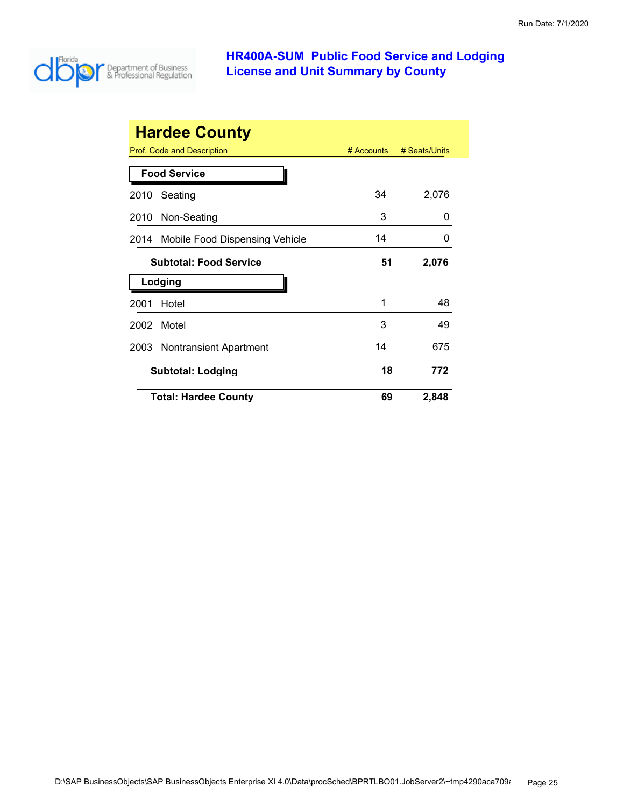

| <b>Hardee County</b> |                                |            |               |  |
|----------------------|--------------------------------|------------|---------------|--|
|                      | Prof. Code and Description     | # Accounts | # Seats/Units |  |
|                      | <b>Food Service</b>            |            |               |  |
| 2010                 | Seating                        | 34         | 2,076         |  |
| 2010                 | Non-Seating                    | 3          | O             |  |
| 2014                 | Mobile Food Dispensing Vehicle | 14         | $\Omega$      |  |
|                      | <b>Subtotal: Food Service</b>  | 51         | 2,076         |  |
|                      | Lodging                        |            |               |  |
| 2001                 | Hotel                          | 1          | 48            |  |
| 2002                 | Motel                          | 3          | 49            |  |
| 2003                 | Nontransient Apartment         | 14         | 675           |  |
|                      | <b>Subtotal: Lodging</b>       | 18         | 772           |  |
|                      | <b>Total: Hardee County</b>    | 69         | 2,848         |  |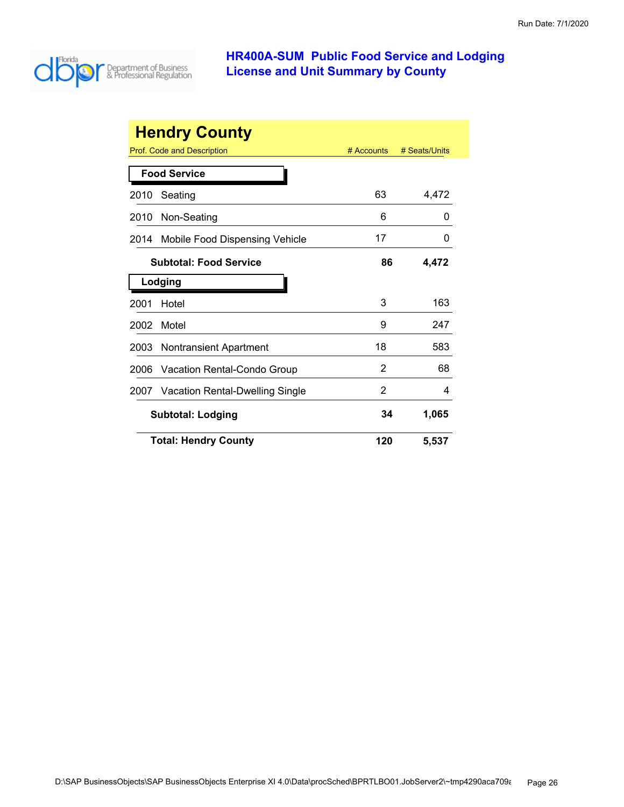

| <b>Hendry County</b> |                                 |            |               |  |
|----------------------|---------------------------------|------------|---------------|--|
|                      | Prof. Code and Description      | # Accounts | # Seats/Units |  |
|                      | <b>Food Service</b>             |            |               |  |
| 2010                 | Seating                         | 63         | 4,472         |  |
| 2010                 | Non-Seating                     | 6          | 0             |  |
| 2014                 | Mobile Food Dispensing Vehicle  | 17         | 0             |  |
|                      | <b>Subtotal: Food Service</b>   | 86         | 4,472         |  |
| Lodging              |                                 |            |               |  |
| 2001                 | Hotel                           | 3          | 163           |  |
| 2002                 | Motel                           | 9          | 247           |  |
| 2003                 | Nontransient Apartment          | 18         | 583           |  |
| 2006                 | Vacation Rental-Condo Group     | 2          | 68            |  |
| 2007                 | Vacation Rental-Dwelling Single | 2          | 4             |  |
|                      | <b>Subtotal: Lodging</b>        | 34         | 1,065         |  |
|                      | <b>Total: Hendry County</b>     | 120        | 5,537         |  |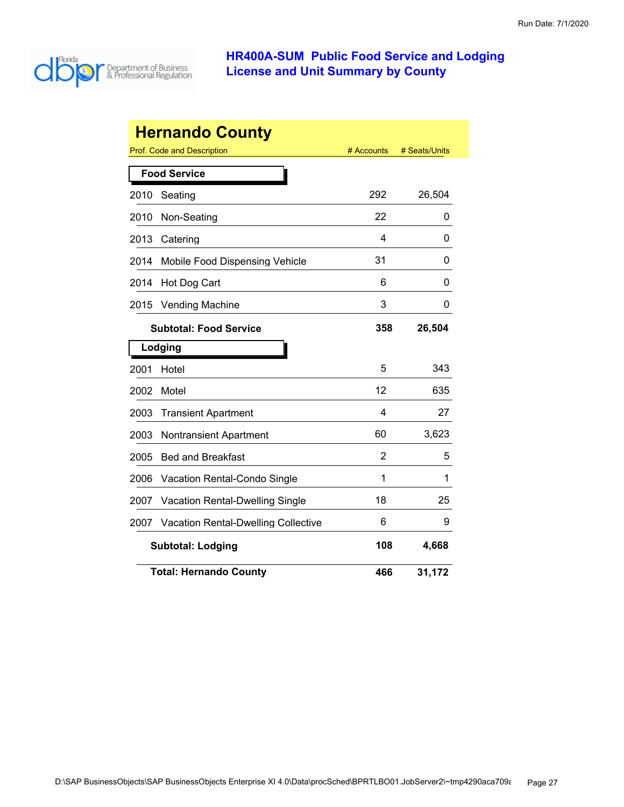

|      | <b>Hernando County</b>                     |            |               |
|------|--------------------------------------------|------------|---------------|
|      | Prof. Code and Description                 | # Accounts | # Seats/Units |
|      | <b>Food Service</b>                        |            |               |
| 2010 | Seating                                    | 292        | 26,504        |
| 2010 | Non-Seating                                | 22         | 0             |
| 2013 | Catering                                   | 4          | 0             |
| 2014 | Mobile Food Dispensing Vehicle             | 31         | 0             |
| 2014 | Hot Dog Cart                               | 6          | 0             |
| 2015 | <b>Vending Machine</b>                     | 3          | 0             |
|      | <b>Subtotal: Food Service</b>              | 358        | 26,504        |
|      | Lodging                                    |            |               |
| 2001 | Hotel                                      | 5          | 343           |
| 2002 | Motel                                      | 12         | 635           |
| 2003 | <b>Transient Apartment</b>                 | 4          | 27            |
| 2003 | <b>Nontransient Apartment</b>              | 60         | 3,623         |
| 2005 | <b>Bed and Breakfast</b>                   | 2          | 5             |
| 2006 | Vacation Rental-Condo Single               | 1          | 1             |
| 2007 | <b>Vacation Rental-Dwelling Single</b>     | 18         | 25            |
| 2007 | <b>Vacation Rental-Dwelling Collective</b> | 6          | 9             |
|      | <b>Subtotal: Lodging</b>                   | 108        | 4,668         |
|      | <b>Total: Hernando County</b>              | 466        | 31,172        |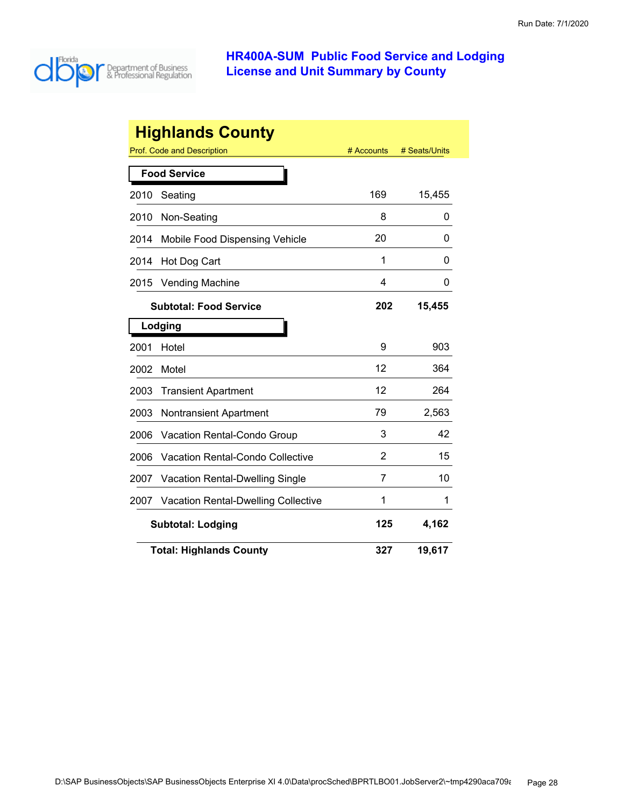

| <b>Highlands County</b> |                                            |            |               |  |
|-------------------------|--------------------------------------------|------------|---------------|--|
|                         | Prof. Code and Description                 | # Accounts | # Seats/Units |  |
|                         | <b>Food Service</b>                        |            |               |  |
| 2010                    | Seating                                    | 169        | 15,455        |  |
| 2010                    | Non-Seating                                | 8          | 0             |  |
| 2014                    | Mobile Food Dispensing Vehicle             | 20         | 0             |  |
| 2014                    | Hot Dog Cart                               | 1          | 0             |  |
| 2015                    | <b>Vending Machine</b>                     | 4          | 0             |  |
|                         | <b>Subtotal: Food Service</b>              | 202        | 15,455        |  |
|                         | Lodging                                    |            |               |  |
| 2001                    | Hotel                                      | 9          | 903           |  |
| 2002                    | Motel                                      | 12         | 364           |  |
| 2003                    | <b>Transient Apartment</b>                 | 12         | 264           |  |
| 2003                    | <b>Nontransient Apartment</b>              | 79         | 2,563         |  |
| 2006                    | Vacation Rental-Condo Group                | 3          | 42            |  |
| 2006                    | <b>Vacation Rental-Condo Collective</b>    | 2          | 15            |  |
| 2007                    | Vacation Rental-Dwelling Single            | 7          | 10            |  |
| 2007                    | <b>Vacation Rental-Dwelling Collective</b> | 1          | 1             |  |
|                         | 4,162<br>125<br><b>Subtotal: Lodging</b>   |            |               |  |
|                         | <b>Total: Highlands County</b>             | 327        | 19,617        |  |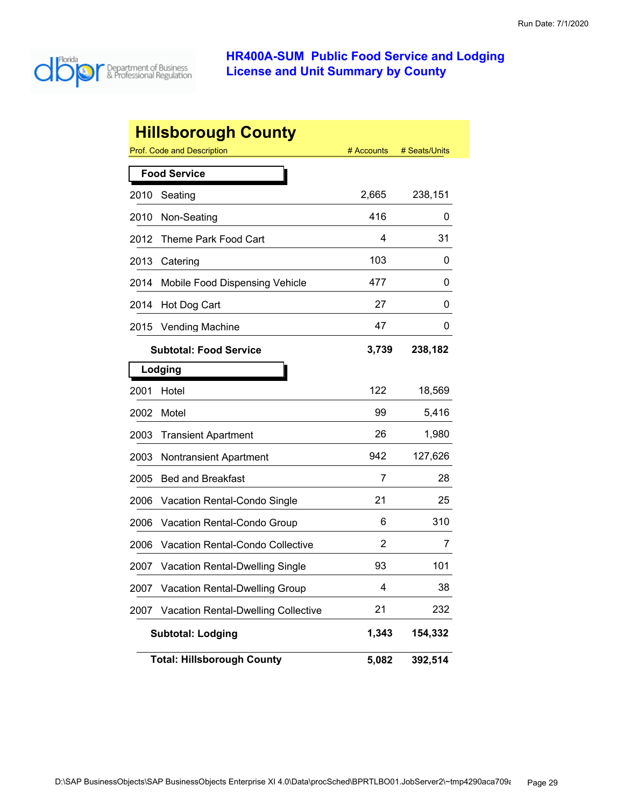

|      | <b>Hillsborough County</b>                 |            |               |
|------|--------------------------------------------|------------|---------------|
|      | Prof. Code and Description                 | # Accounts | # Seats/Units |
|      | <b>Food Service</b>                        |            |               |
| 2010 | Seating                                    | 2,665      | 238,151       |
| 2010 | Non-Seating                                | 416        | 0             |
| 2012 | Theme Park Food Cart                       | 4          | 31            |
| 2013 | Catering                                   | 103        | 0             |
| 2014 | Mobile Food Dispensing Vehicle             | 477        | 0             |
| 2014 | Hot Dog Cart                               | 27         | 0             |
| 2015 | <b>Vending Machine</b>                     | 47         | 0             |
|      | <b>Subtotal: Food Service</b>              | 3,739      | 238,182       |
|      | Lodging                                    |            |               |
| 2001 | Hotel                                      | 122        | 18,569        |
| 2002 | Motel                                      | 99         | 5,416         |
| 2003 | <b>Transient Apartment</b>                 | 26         | 1,980         |
| 2003 | <b>Nontransient Apartment</b>              | 942        | 127,626       |
| 2005 | <b>Bed and Breakfast</b>                   | 7          | 28            |
| 2006 | Vacation Rental-Condo Single               | 21         | 25            |
| 2006 | Vacation Rental-Condo Group                | 6          | 310           |
| 2006 | <b>Vacation Rental-Condo Collective</b>    | 2          | 7             |
| 2007 | <b>Vacation Rental-Dwelling Single</b>     | 93         | 101           |
| 2007 | Vacation Rental-Dwelling Group             | 4          | 38            |
| 2007 | <b>Vacation Rental-Dwelling Collective</b> | 21         | 232           |
|      | <b>Subtotal: Lodging</b>                   | 1,343      | 154,332       |
|      | <b>Total: Hillsborough County</b>          | 5,082      | 392,514       |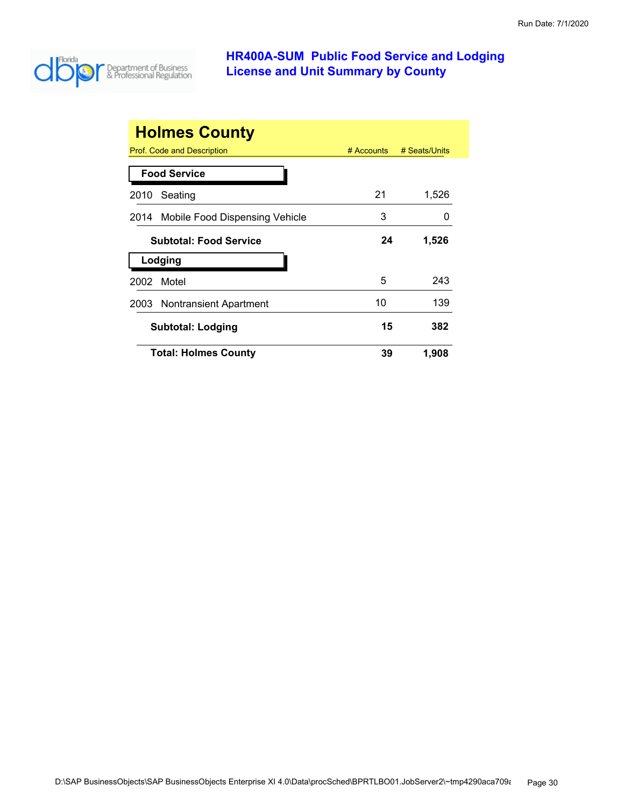

| <b>Holmes County</b>                |            |               |
|-------------------------------------|------------|---------------|
| Prof. Code and Description          | # Accounts | # Seats/Units |
| <b>Food Service</b>                 |            |               |
| Seating<br>2010                     | 21         | 1,526         |
| 2014 Mobile Food Dispensing Vehicle | 3          |               |
| <b>Subtotal: Food Service</b>       | 24         | 1,526         |
| Lodging                             |            |               |
| Motel<br>2002                       | 5          | 243           |
| 2003 Nontransient Apartment         | 10         | 139           |
| Subtotal: Lodging                   | 15         | 382           |
| <b>Total: Holmes County</b>         | 39         | 1,908         |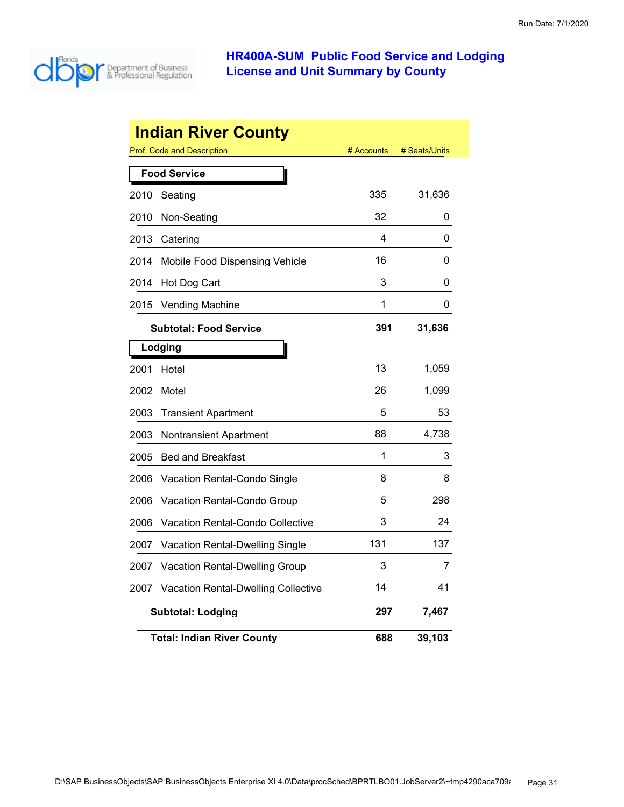

|      | <b>Indian River County</b>                 |            |               |
|------|--------------------------------------------|------------|---------------|
|      | Prof. Code and Description                 | # Accounts | # Seats/Units |
|      | <b>Food Service</b>                        |            |               |
| 2010 | Seating                                    | 335        | 31,636        |
| 2010 | Non-Seating                                | 32         | 0             |
| 2013 | Catering                                   | 4          | 0             |
| 2014 | Mobile Food Dispensing Vehicle             | 16         | 0             |
| 2014 | Hot Dog Cart                               | 3          | 0             |
| 2015 | <b>Vending Machine</b>                     | 1          | 0             |
|      | <b>Subtotal: Food Service</b>              | 391        | 31,636        |
|      | Lodging                                    |            |               |
| 2001 | Hotel                                      | 13         | 1,059         |
| 2002 | Motel                                      | 26         | 1,099         |
| 2003 | <b>Transient Apartment</b>                 | 5          | 53            |
| 2003 | <b>Nontransient Apartment</b>              | 88         | 4,738         |
| 2005 | <b>Bed and Breakfast</b>                   | 1          | 3             |
| 2006 | <b>Vacation Rental-Condo Single</b>        | 8          | 8             |
| 2006 | Vacation Rental-Condo Group                | 5          | 298           |
| 2006 | <b>Vacation Rental-Condo Collective</b>    | 3          | 24            |
| 2007 | <b>Vacation Rental-Dwelling Single</b>     | 131        | 137           |
| 2007 | Vacation Rental-Dwelling Group             | 3          | 7             |
| 2007 | <b>Vacation Rental-Dwelling Collective</b> | 14         | 41            |
|      | <b>Subtotal: Lodging</b>                   | 297        | 7,467         |
|      | <b>Total: Indian River County</b>          | 688        | 39,103        |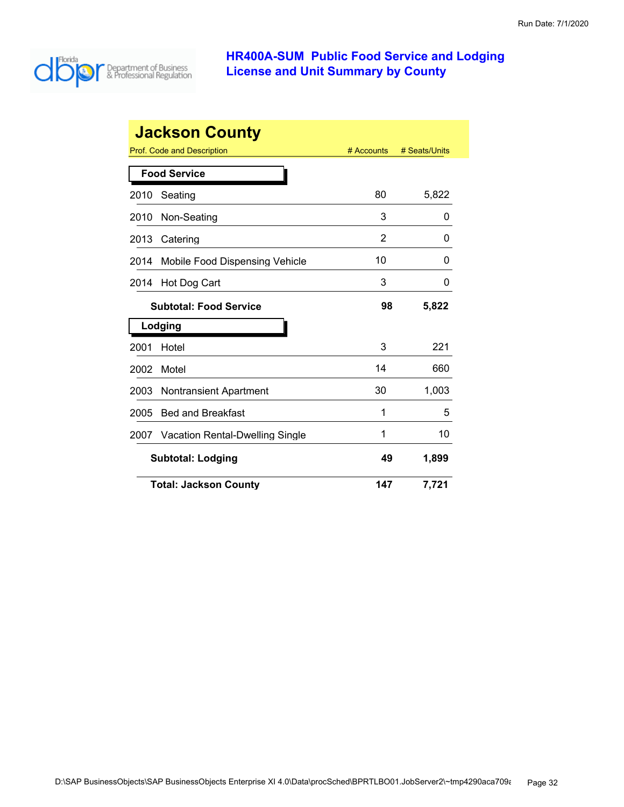

| <b>Jackson County</b> |                                 |            |               |
|-----------------------|---------------------------------|------------|---------------|
|                       | Prof. Code and Description      | # Accounts | # Seats/Units |
|                       | <b>Food Service</b>             |            |               |
| 2010                  | Seating                         | 80         | 5,822         |
| 2010                  | Non-Seating                     | 3          | 0             |
| 2013                  | Catering                        | 2          | 0             |
| 2014                  | Mobile Food Dispensing Vehicle  | 10         | 0             |
| 2014                  | Hot Dog Cart                    | 3          | 0             |
|                       | <b>Subtotal: Food Service</b>   |            | 5,822         |
|                       | Lodging                         |            |               |
| 2001                  | Hotel                           | 3          | 221           |
| 2002                  | Motel                           | 14         | 660           |
| 2003                  | <b>Nontransient Apartment</b>   | 30         | 1,003         |
| 2005                  | <b>Bed and Breakfast</b>        | 1          | 5             |
| 2007                  | Vacation Rental-Dwelling Single | 1          | 10            |
|                       | <b>Subtotal: Lodging</b>        |            | 1,899         |
|                       | <b>Total: Jackson County</b>    | 147        | 7,721         |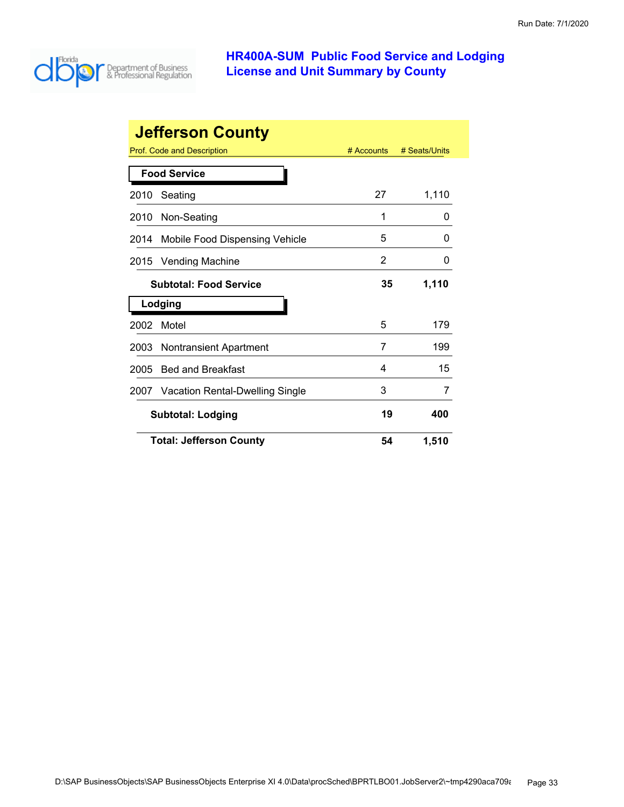

|      | <b>Jefferson County</b>              |              |               |
|------|--------------------------------------|--------------|---------------|
|      | <b>Prof. Code and Description</b>    | $#$ Accounts | # Seats/Units |
|      | <b>Food Service</b>                  |              |               |
| 2010 | Seating                              | 27           | 1,110         |
| 2010 | Non-Seating                          | 1            | 0             |
| 2014 | Mobile Food Dispensing Vehicle       | 5            | O             |
| 2015 | <b>Vending Machine</b>               | 2            | 0             |
|      | <b>Subtotal: Food Service</b>        |              | 1,110         |
|      | Lodging                              |              |               |
| 2002 | Motel                                | 5            | 179           |
| 2003 | <b>Nontransient Apartment</b>        | 7            | 199           |
| 2005 | <b>Bed and Breakfast</b>             | 4            | 15            |
|      | 2007 Vacation Rental-Dwelling Single | 3            | 7             |
|      | <b>Subtotal: Lodging</b>             | 19           | 400           |
|      | <b>Total: Jefferson County</b>       | 54           | 1,510         |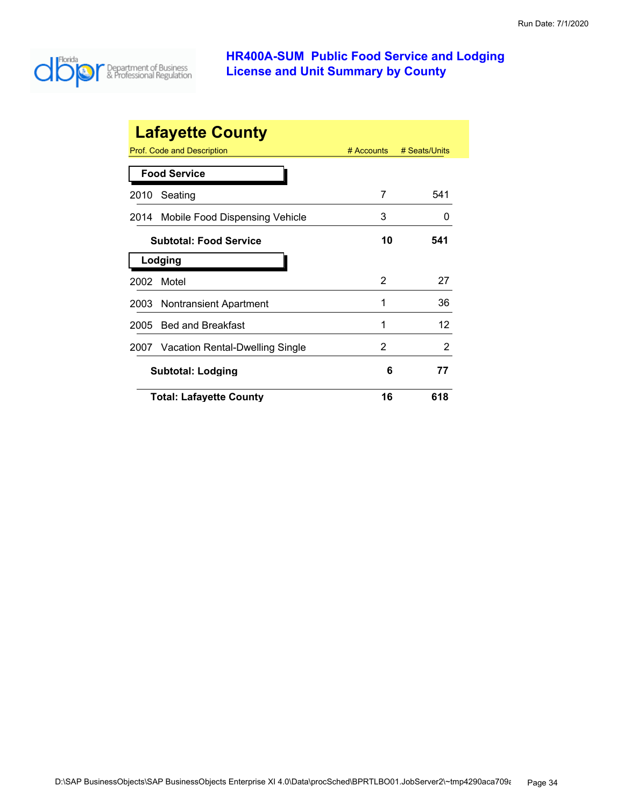

| <b>Lafayette County</b> |                                                           |    |              |  |  |
|-------------------------|-----------------------------------------------------------|----|--------------|--|--|
|                         | Prof. Code and Description<br># Accounts<br># Seats/Units |    |              |  |  |
|                         | <b>Food Service</b>                                       |    |              |  |  |
| 2010                    | Seating                                                   | 7  | 541          |  |  |
| 2014                    | Mobile Food Dispensing Vehicle                            | 3  | $\mathbf{0}$ |  |  |
|                         | <b>Subtotal: Food Service</b>                             | 10 | 541          |  |  |
| Lodging                 |                                                           |    |              |  |  |
| 2002                    | Motel                                                     | 2  | 27           |  |  |
| 2003                    | Nontransient Apartment                                    | 1  | 36           |  |  |
| 2005                    | <b>Bed and Breakfast</b>                                  | 1  | 12           |  |  |
| 2007                    | Vacation Rental-Dwelling Single                           | 2  | 2            |  |  |
|                         | <b>Subtotal: Lodging</b>                                  | 6  | 77           |  |  |
|                         | <b>Total: Lafayette County</b>                            | 16 | 618          |  |  |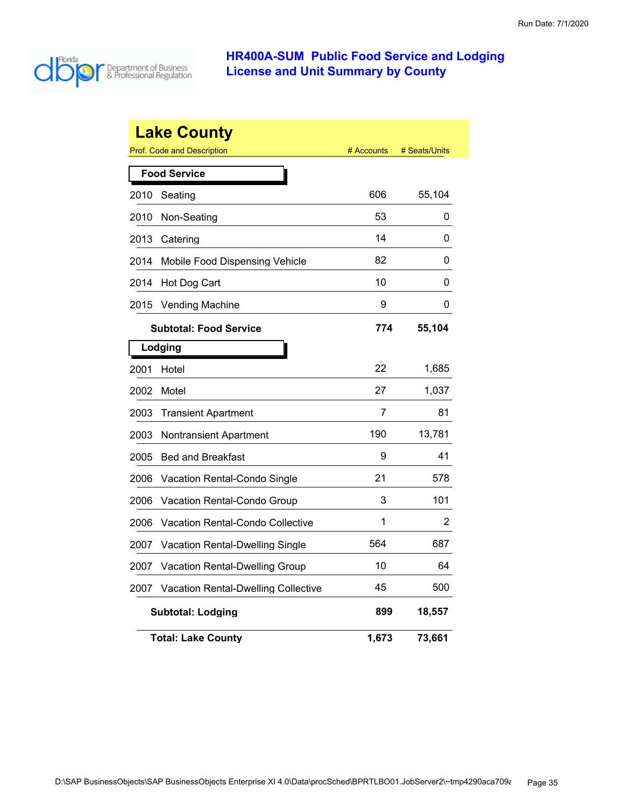

|      | <b>Lake County</b>                         |            |               |
|------|--------------------------------------------|------------|---------------|
|      | <b>Prof. Code and Description</b>          | # Accounts | # Seats/Units |
|      | <b>Food Service</b>                        |            |               |
| 2010 | Seating                                    | 606        | 55,104        |
| 2010 | Non-Seating                                | 53         | 0             |
| 2013 | Catering                                   | 14         | 0             |
| 2014 | Mobile Food Dispensing Vehicle             | 82         | 0             |
| 2014 | Hot Dog Cart                               | 10         | 0             |
| 2015 | <b>Vending Machine</b>                     | 9          | 0             |
|      | <b>Subtotal: Food Service</b>              | 774        | 55,104        |
|      | Lodging                                    |            |               |
| 2001 | Hotel                                      | 22         | 1,685         |
| 2002 | Motel                                      | 27         | 1,037         |
| 2003 | <b>Transient Apartment</b>                 | 7          | 81            |
| 2003 | <b>Nontransient Apartment</b>              | 190        | 13,781        |
| 2005 | <b>Bed and Breakfast</b>                   | 9          | 41            |
| 2006 | Vacation Rental-Condo Single               | 21         | 578           |
| 2006 | Vacation Rental-Condo Group                | 3          | 101           |
| 2006 | <b>Vacation Rental-Condo Collective</b>    | 1          | 2             |
| 2007 | Vacation Rental-Dwelling Single            | 564        | 687           |
| 2007 | <b>Vacation Rental-Dwelling Group</b>      | 10         | 64            |
| 2007 | <b>Vacation Rental-Dwelling Collective</b> | 45         | 500           |
|      | <b>Subtotal: Lodging</b>                   | 899        | 18,557        |
|      | <b>Total: Lake County</b>                  | 1,673      | 73,661        |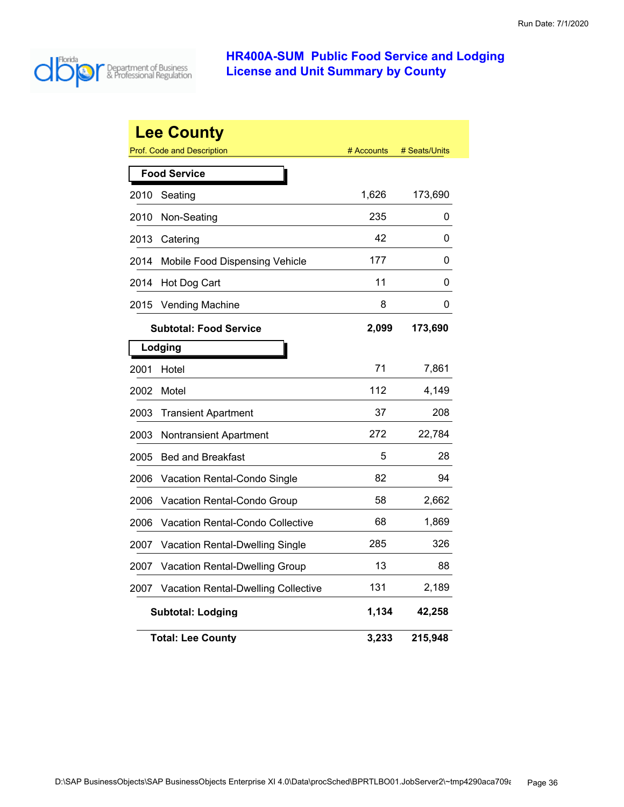

|      | <b>Lee County</b>                          |            |               |  |  |
|------|--------------------------------------------|------------|---------------|--|--|
|      | <b>Prof. Code and Description</b>          | # Accounts | # Seats/Units |  |  |
|      | <b>Food Service</b>                        |            |               |  |  |
| 2010 | Seating                                    | 1,626      | 173,690       |  |  |
| 2010 | Non-Seating                                | 235        | 0             |  |  |
| 2013 | Catering                                   | 42         | 0             |  |  |
| 2014 | Mobile Food Dispensing Vehicle             | 177        | 0             |  |  |
| 2014 | Hot Dog Cart                               | 11         | 0             |  |  |
| 2015 | <b>Vending Machine</b>                     | 8          | 0             |  |  |
|      | <b>Subtotal: Food Service</b>              | 2,099      | 173,690       |  |  |
|      | Lodging                                    |            |               |  |  |
| 2001 | Hotel                                      | 71         | 7,861         |  |  |
| 2002 | Motel                                      | 112        | 4,149         |  |  |
| 2003 | <b>Transient Apartment</b>                 | 37         | 208           |  |  |
| 2003 | Nontransient Apartment                     | 272        | 22,784        |  |  |
| 2005 | <b>Bed and Breakfast</b>                   | 5          | 28            |  |  |
| 2006 | Vacation Rental-Condo Single               | 82         | 94            |  |  |
| 2006 | Vacation Rental-Condo Group                | 58         | 2,662         |  |  |
| 2006 | Vacation Rental-Condo Collective           | 68         | 1,869         |  |  |
| 2007 | Vacation Rental-Dwelling Single            | 285        | 326           |  |  |
| 2007 | <b>Vacation Rental-Dwelling Group</b>      | 13         | 88            |  |  |
| 2007 | <b>Vacation Rental-Dwelling Collective</b> | 131        | 2,189         |  |  |
|      | <b>Subtotal: Lodging</b>                   | 1,134      | 42,258        |  |  |
|      | <b>Total: Lee County</b>                   | 3,233      | 215,948       |  |  |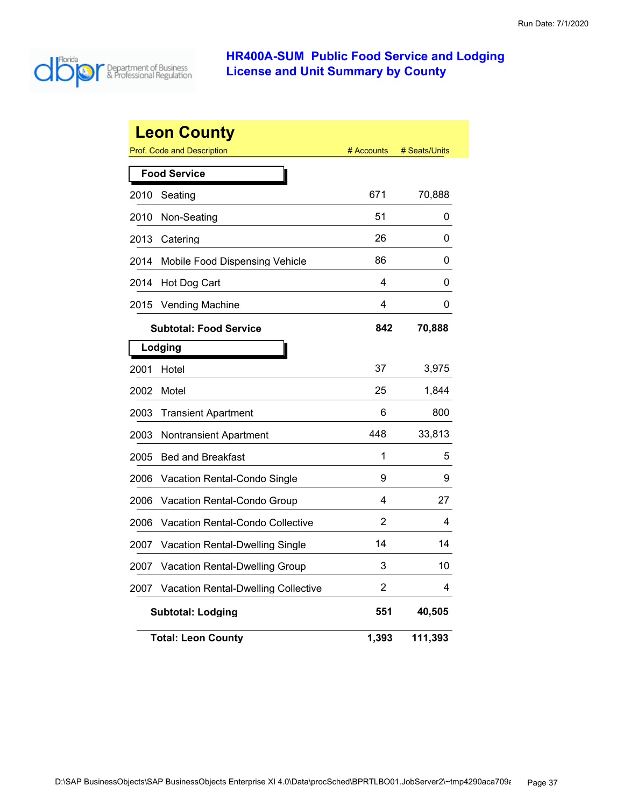

|      | <b>Leon County</b>                                | # Accounts | # Seats/Units |  |  |
|------|---------------------------------------------------|------------|---------------|--|--|
|      | Prof. Code and Description<br><b>Food Service</b> |            |               |  |  |
| 2010 | Seating                                           | 671        | 70,888        |  |  |
| 2010 | Non-Seating                                       | 51         | 0             |  |  |
| 2013 | Catering                                          | 26         | 0             |  |  |
| 2014 | Mobile Food Dispensing Vehicle                    | 86         | 0             |  |  |
| 2014 | Hot Dog Cart                                      | 4          | 0             |  |  |
| 2015 | <b>Vending Machine</b>                            | 4          | 0             |  |  |
|      | <b>Subtotal: Food Service</b>                     | 842        | 70,888        |  |  |
|      | Lodging                                           |            |               |  |  |
| 2001 | Hotel                                             | 37         | 3,975         |  |  |
| 2002 | Motel                                             | 25         | 1,844         |  |  |
| 2003 | <b>Transient Apartment</b>                        | 6          | 800           |  |  |
| 2003 | <b>Nontransient Apartment</b>                     | 448        | 33,813        |  |  |
| 2005 | <b>Bed and Breakfast</b>                          | 1          | 5             |  |  |
| 2006 | Vacation Rental-Condo Single                      | 9          | 9             |  |  |
| 2006 | Vacation Rental-Condo Group                       | 4          | 27            |  |  |
| 2006 | Vacation Rental-Condo Collective                  | 2          | 4             |  |  |
| 2007 | Vacation Rental-Dwelling Single                   | 14         | 14            |  |  |
| 2007 | Vacation Rental-Dwelling Group                    | 3          | 10            |  |  |
| 2007 | <b>Vacation Rental-Dwelling Collective</b>        | 2          | 4             |  |  |
|      | <b>Subtotal: Lodging</b>                          | 551        | 40,505        |  |  |
|      | <b>Total: Leon County</b>                         | 1,393      | 111,393       |  |  |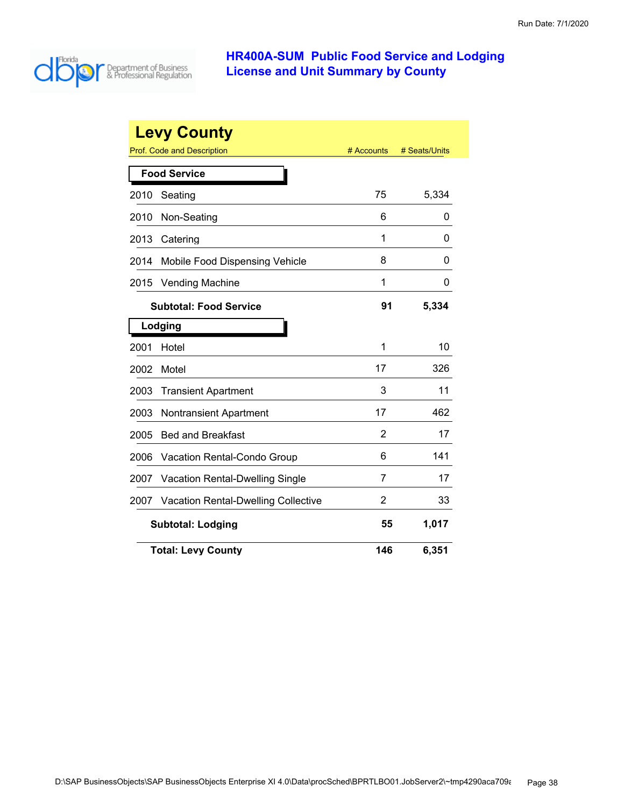

| <b>Levy County</b>                           |                                            |            |               |  |
|----------------------------------------------|--------------------------------------------|------------|---------------|--|
|                                              | <b>Prof. Code and Description</b>          | # Accounts | # Seats/Units |  |
|                                              | <b>Food Service</b>                        |            |               |  |
| 2010                                         | Seating                                    | 75         | 5,334         |  |
| 2010                                         | Non-Seating                                | 6          | 0             |  |
| 2013                                         | Catering                                   | 1          | 0             |  |
| 2014                                         | Mobile Food Dispensing Vehicle             | 8          | 0             |  |
| 2015                                         | <b>Vending Machine</b>                     | 1          | 0             |  |
| 91<br>5,334<br><b>Subtotal: Food Service</b> |                                            |            |               |  |
|                                              | Lodging                                    |            |               |  |
| 2001                                         | Hotel                                      | 1          | 10            |  |
| 2002                                         | Motel                                      | 17         | 326           |  |
| 2003                                         | <b>Transient Apartment</b>                 | 3          | 11            |  |
| 2003                                         | <b>Nontransient Apartment</b>              | 17         | 462           |  |
| 2005                                         | <b>Bed and Breakfast</b>                   | 2          | 17            |  |
| 2006                                         | Vacation Rental-Condo Group                | 6          | 141           |  |
| 2007                                         | Vacation Rental-Dwelling Single            | 7          | 17            |  |
| 2007                                         | <b>Vacation Rental-Dwelling Collective</b> | 2          | 33            |  |
|                                              | 1,017<br>55<br><b>Subtotal: Lodging</b>    |            |               |  |
|                                              | <b>Total: Levy County</b>                  | 146        | 6,351         |  |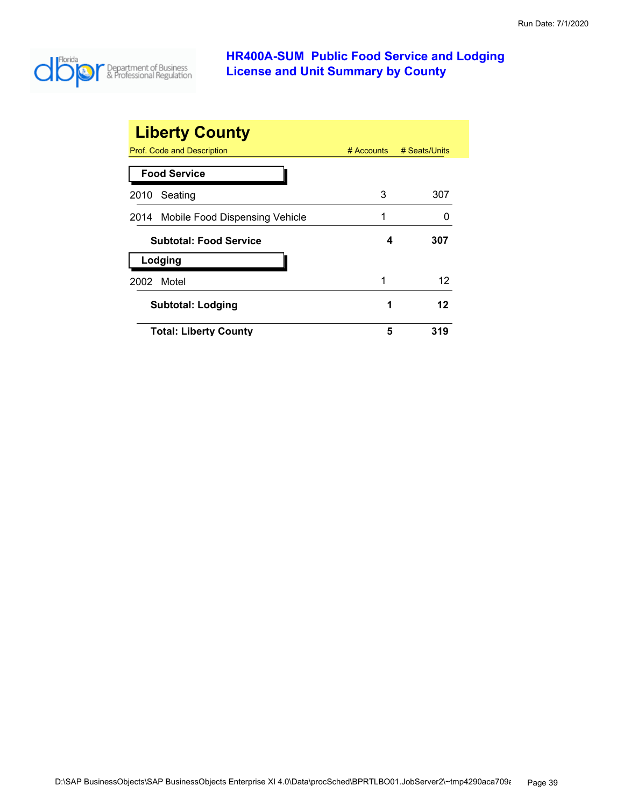

| <b>Liberty County</b>               |              |               |
|-------------------------------------|--------------|---------------|
| Prof. Code and Description          | $#$ Accounts | # Seats/Units |
| <b>Food Service</b>                 |              |               |
| Seating<br>2010                     | 3            | 307           |
| 2014 Mobile Food Dispensing Vehicle | 1            |               |
| <b>Subtotal: Food Service</b>       | 4            | 307           |
| Lodging                             |              |               |
| Motel<br>2002                       | 1            | 12            |
| <b>Subtotal: Lodging</b>            | 1            | 12            |
| <b>Total: Liberty County</b>        | 5            | 319           |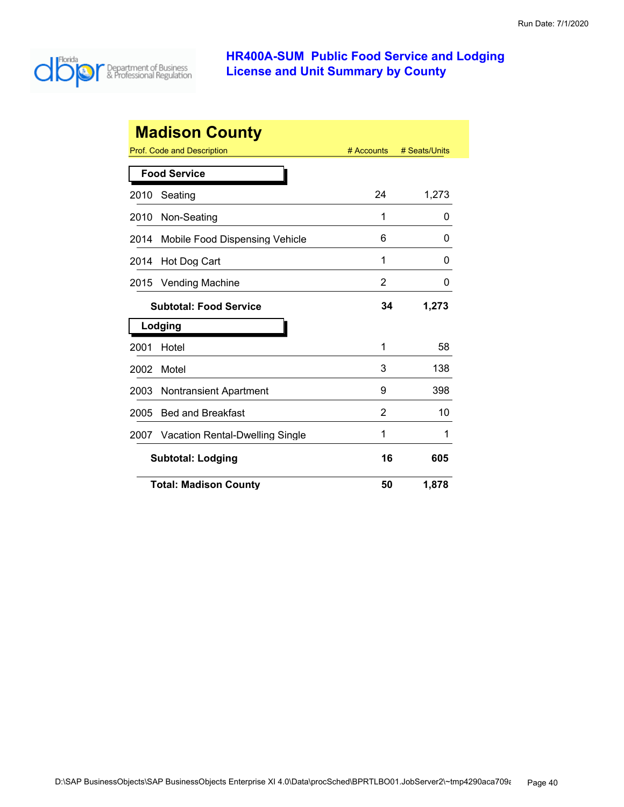

| <b>Madison County</b>                        |                                       |            |               |  |
|----------------------------------------------|---------------------------------------|------------|---------------|--|
|                                              | Prof. Code and Description            | # Accounts | # Seats/Units |  |
|                                              | <b>Food Service</b>                   |            |               |  |
| 2010                                         | Seating                               | 24         | 1,273         |  |
| 2010                                         | Non-Seating                           | 1          | O             |  |
| 2014                                         | Mobile Food Dispensing Vehicle        | 6          | 0             |  |
| 2014                                         | Hot Dog Cart                          | 1          | 0             |  |
| 2015                                         | <b>Vending Machine</b>                | 2          | 0             |  |
| 1,273<br>34<br><b>Subtotal: Food Service</b> |                                       |            |               |  |
|                                              | Lodging                               |            |               |  |
| 2001                                         | Hotel                                 | 1          | 58            |  |
| 2002                                         | Motel                                 | 3          | 138           |  |
| 2003                                         | Nontransient Apartment                | 9          | 398           |  |
| 2005                                         | <b>Bed and Breakfast</b>              | 2          | 10            |  |
| 2007                                         | Vacation Rental-Dwelling Single       | 1          | 1             |  |
|                                              | 16<br><b>Subtotal: Lodging</b><br>605 |            |               |  |
|                                              | <b>Total: Madison County</b>          | 50         | 1,878         |  |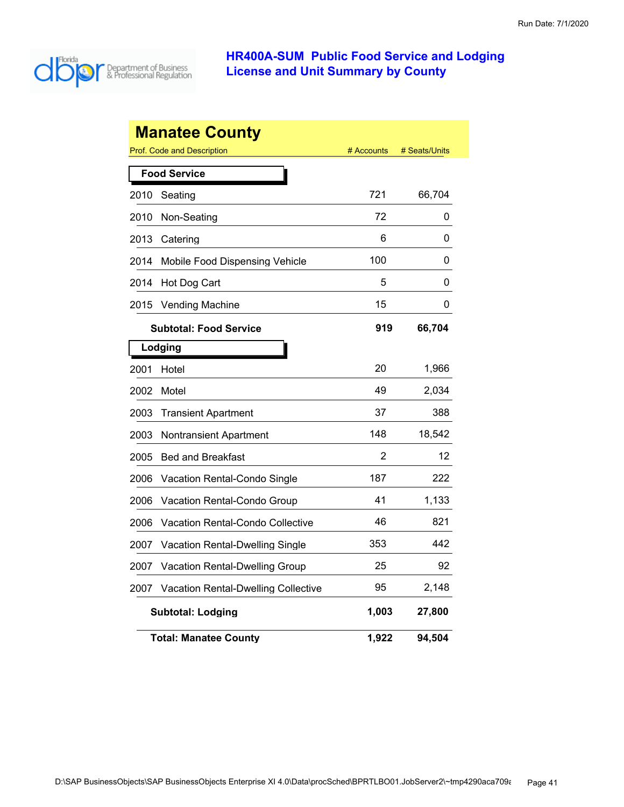

|      | <b>Manatee County</b>                   |            |               |
|------|-----------------------------------------|------------|---------------|
|      | Prof. Code and Description              | # Accounts | # Seats/Units |
|      | <b>Food Service</b>                     |            |               |
| 2010 | Seating                                 | 721        | 66,704        |
| 2010 | Non-Seating                             | 72         | 0             |
| 2013 | Catering                                | 6          | 0             |
| 2014 | Mobile Food Dispensing Vehicle          | 100        | 0             |
| 2014 | Hot Dog Cart                            | 5          | 0             |
| 2015 | <b>Vending Machine</b>                  | 15         | 0             |
|      | <b>Subtotal: Food Service</b>           | 919        | 66,704        |
|      | Lodging                                 |            |               |
| 2001 | Hotel                                   | 20         | 1,966         |
| 2002 | Motel                                   | 49         | 2,034         |
| 2003 | <b>Transient Apartment</b>              | 37         | 388           |
| 2003 | <b>Nontransient Apartment</b>           | 148        | 18,542        |
| 2005 | <b>Bed and Breakfast</b>                | 2          | 12            |
| 2006 | Vacation Rental-Condo Single            | 187        | 222           |
| 2006 | Vacation Rental-Condo Group             | 41         | 1,133         |
| 2006 | <b>Vacation Rental-Condo Collective</b> | 46         | 821           |
| 2007 | Vacation Rental-Dwelling Single         | 353        | 442           |
| 2007 | Vacation Rental-Dwelling Group          | 25         | 92            |
| 2007 | Vacation Rental-Dwelling Collective     | 95         | 2,148         |
|      | <b>Subtotal: Lodging</b>                | 1,003      | 27,800        |
|      | <b>Total: Manatee County</b>            | 1,922      | 94,504        |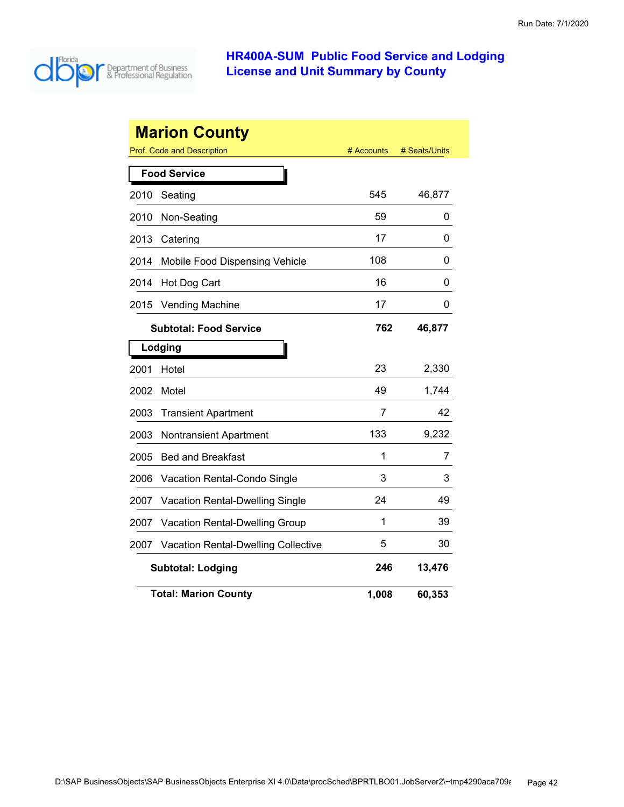

|      | <b>Marion County</b>                       |            |               |  |  |
|------|--------------------------------------------|------------|---------------|--|--|
|      | <b>Prof. Code and Description</b>          | # Accounts | # Seats/Units |  |  |
|      | <b>Food Service</b>                        |            |               |  |  |
| 2010 | Seating                                    | 545        | 46,877        |  |  |
| 2010 | Non-Seating                                | 59         | 0             |  |  |
| 2013 | Catering                                   | 17         | 0             |  |  |
| 2014 | Mobile Food Dispensing Vehicle             | 108        | 0             |  |  |
| 2014 | Hot Dog Cart                               | 16         | 0             |  |  |
| 2015 | <b>Vending Machine</b>                     | 17         | 0             |  |  |
|      | <b>Subtotal: Food Service</b>              | 762        | 46,877        |  |  |
|      | Lodging                                    |            |               |  |  |
| 2001 | Hotel                                      | 23         | 2,330         |  |  |
| 2002 | Motel                                      | 49         | 1,744         |  |  |
| 2003 | <b>Transient Apartment</b>                 | 7          | 42            |  |  |
| 2003 | <b>Nontransient Apartment</b>              | 133        | 9,232         |  |  |
| 2005 | <b>Bed and Breakfast</b>                   | 1          | 7             |  |  |
| 2006 | Vacation Rental-Condo Single               | 3          | 3             |  |  |
| 2007 | Vacation Rental-Dwelling Single            | 24         | 49            |  |  |
| 2007 | <b>Vacation Rental-Dwelling Group</b>      | 1          | 39            |  |  |
| 2007 | <b>Vacation Rental-Dwelling Collective</b> | 5          | 30            |  |  |
|      | <b>Subtotal: Lodging</b>                   | 246        | 13,476        |  |  |
|      | <b>Total: Marion County</b>                | 1,008      | 60,353        |  |  |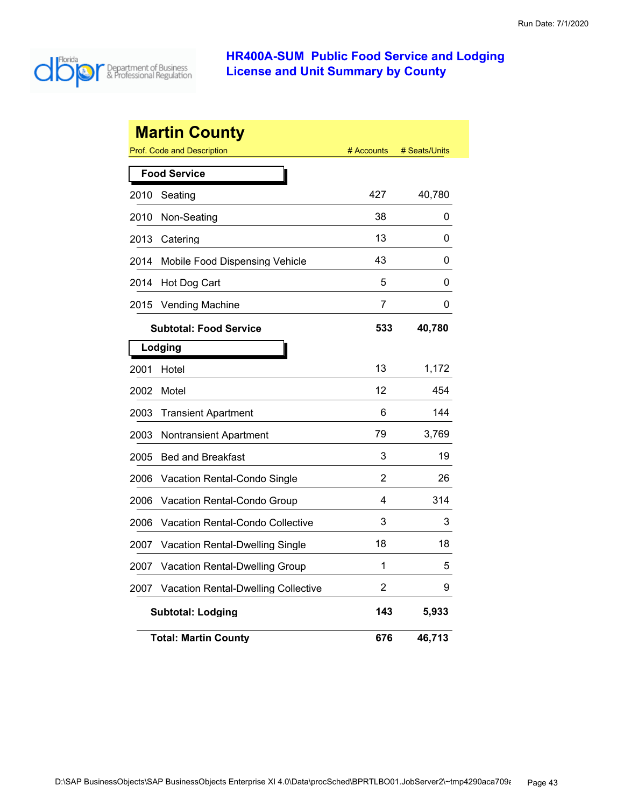

|      | <b>Martin County</b><br>Prof. Code and Description | # Accounts | # Seats/Units |
|------|----------------------------------------------------|------------|---------------|
|      |                                                    |            |               |
|      | <b>Food Service</b>                                |            |               |
| 2010 | Seating                                            | 427        | 40,780        |
| 2010 | Non-Seating                                        | 38         | 0             |
| 2013 | Catering                                           | 13         | 0             |
| 2014 | Mobile Food Dispensing Vehicle                     | 43         | 0             |
| 2014 | Hot Dog Cart                                       | 5          | 0             |
| 2015 | <b>Vending Machine</b>                             | 7          | 0             |
|      | <b>Subtotal: Food Service</b>                      | 533        | 40,780        |
|      | Lodging                                            |            |               |
| 2001 | Hotel                                              | 13         | 1,172         |
| 2002 | Motel                                              | 12         | 454           |
| 2003 | <b>Transient Apartment</b>                         | 6          | 144           |
| 2003 | <b>Nontransient Apartment</b>                      | 79         | 3,769         |
| 2005 | <b>Bed and Breakfast</b>                           | 3          | 19            |
| 2006 | Vacation Rental-Condo Single                       | 2          | 26            |
| 2006 | Vacation Rental-Condo Group                        | 4          | 314           |
| 2006 | Vacation Rental-Condo Collective                   | 3          | 3             |
| 2007 | Vacation Rental-Dwelling Single                    | 18         | 18            |
| 2007 | Vacation Rental-Dwelling Group                     | 1          | 5             |
| 2007 | Vacation Rental-Dwelling Collective                | 2          | 9             |
|      | <b>Subtotal: Lodging</b>                           | 143        | 5,933         |
|      | <b>Total: Martin County</b>                        | 676        | 46,713        |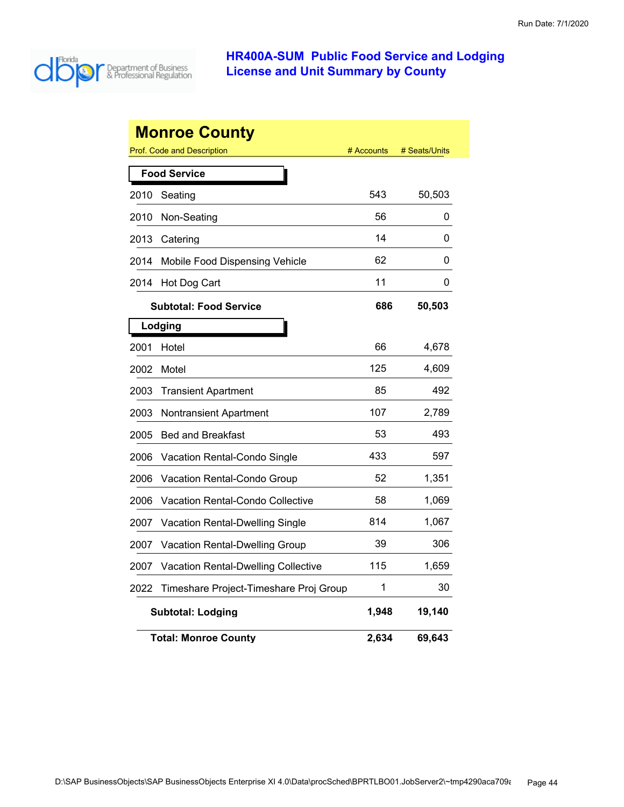

|      | <b>Monroe County</b>                              |            |               |
|------|---------------------------------------------------|------------|---------------|
|      | Prof. Code and Description<br><b>Food Service</b> | # Accounts | # Seats/Units |
| 2010 | Seating                                           | 543        | 50,503        |
| 2010 | Non-Seating                                       | 56         | 0             |
| 2013 | Catering                                          | 14         | 0             |
| 2014 | Mobile Food Dispensing Vehicle                    | 62         | 0             |
| 2014 | Hot Dog Cart                                      | 11         | 0             |
|      | <b>Subtotal: Food Service</b>                     | 686        | 50,503        |
|      | Lodging                                           |            |               |
| 2001 | Hotel                                             | 66         | 4,678         |
| 2002 | Motel                                             | 125        | 4,609         |
| 2003 | <b>Transient Apartment</b>                        | 85         | 492           |
| 2003 | <b>Nontransient Apartment</b>                     | 107        | 2,789         |
| 2005 | <b>Bed and Breakfast</b>                          | 53         | 493           |
| 2006 | Vacation Rental-Condo Single                      | 433        | 597           |
| 2006 | Vacation Rental-Condo Group                       | 52         | 1,351         |
| 2006 | Vacation Rental-Condo Collective                  | 58         | 1,069         |
| 2007 | <b>Vacation Rental-Dwelling Single</b>            | 814        | 1,067         |
| 2007 | <b>Vacation Rental-Dwelling Group</b>             | 39         | 306           |
| 2007 | <b>Vacation Rental-Dwelling Collective</b>        | 115        | 1,659         |
| 2022 | Timeshare Project-Timeshare Proj Group            | 1          | 30            |
|      | Subtotal: Lodging                                 | 1,948      | 19,140        |
|      | <b>Total: Monroe County</b>                       | 2,634      | 69,643        |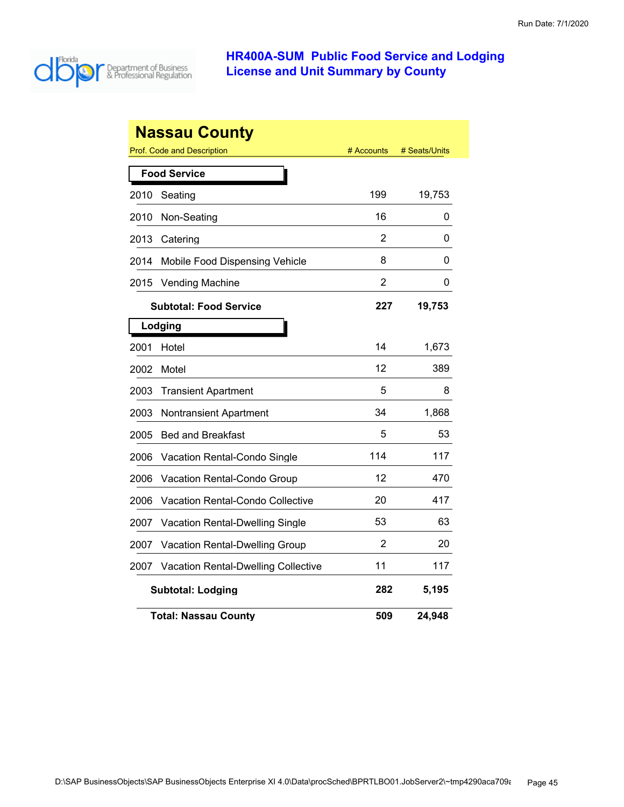

| <b>Nassau County</b><br><b>Prof. Code and Description</b><br># Seats/Units<br># Accounts |                                            |                |        |  |  |  |
|------------------------------------------------------------------------------------------|--------------------------------------------|----------------|--------|--|--|--|
|                                                                                          | <b>Food Service</b>                        |                |        |  |  |  |
| 2010                                                                                     | Seating                                    | 199            | 19,753 |  |  |  |
| 2010                                                                                     | Non-Seating                                | 16             | 0      |  |  |  |
| 2013                                                                                     | Catering                                   | 2              | 0      |  |  |  |
| 2014                                                                                     | Mobile Food Dispensing Vehicle             | 8              | 0      |  |  |  |
| 2015                                                                                     | <b>Vending Machine</b>                     | $\overline{2}$ | 0      |  |  |  |
|                                                                                          | <b>Subtotal: Food Service</b>              | 227            | 19,753 |  |  |  |
|                                                                                          | Lodging                                    |                |        |  |  |  |
| 2001                                                                                     | Hotel                                      | 14             | 1,673  |  |  |  |
| 2002                                                                                     | Motel                                      | 12             | 389    |  |  |  |
| 2003                                                                                     | <b>Transient Apartment</b>                 | 5              | 8      |  |  |  |
| 2003                                                                                     | <b>Nontransient Apartment</b>              | 34             | 1,868  |  |  |  |
| 2005                                                                                     | <b>Bed and Breakfast</b>                   | 5              | 53     |  |  |  |
| 2006                                                                                     | <b>Vacation Rental-Condo Single</b>        | 114            | 117    |  |  |  |
| 2006                                                                                     | Vacation Rental-Condo Group                | 12             | 470    |  |  |  |
| 2006                                                                                     | <b>Vacation Rental-Condo Collective</b>    | 20             | 417    |  |  |  |
| 2007                                                                                     | Vacation Rental-Dwelling Single            | 53             | 63     |  |  |  |
| 2007                                                                                     | <b>Vacation Rental-Dwelling Group</b>      | 2              | 20     |  |  |  |
| 2007                                                                                     | <b>Vacation Rental-Dwelling Collective</b> | 11             | 117    |  |  |  |
|                                                                                          | <b>Subtotal: Lodging</b>                   | 282            | 5,195  |  |  |  |
|                                                                                          | <b>Total: Nassau County</b>                | 509            | 24,948 |  |  |  |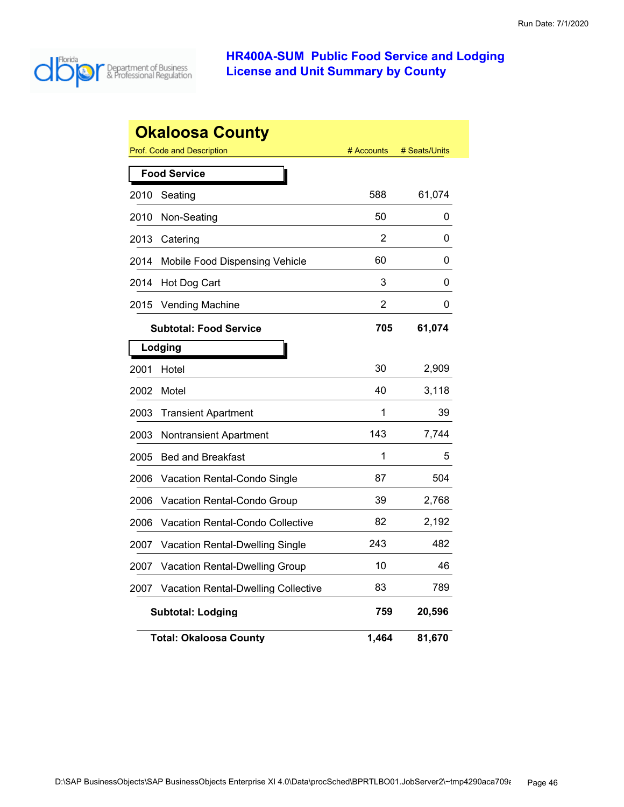

|      | <b>Okaloosa County</b>                     |            |               |
|------|--------------------------------------------|------------|---------------|
|      | Prof. Code and Description                 | # Accounts | # Seats/Units |
|      | <b>Food Service</b>                        |            |               |
| 2010 | Seating                                    | 588        | 61,074        |
| 2010 | Non-Seating                                | 50         | 0             |
| 2013 | Catering                                   | 2          | 0             |
| 2014 | Mobile Food Dispensing Vehicle             | 60         | 0             |
| 2014 | Hot Dog Cart                               | 3          | 0             |
| 2015 | <b>Vending Machine</b>                     | 2          | 0             |
|      | <b>Subtotal: Food Service</b>              | 705        | 61,074        |
|      | Lodging                                    |            |               |
| 2001 | Hotel                                      | 30         | 2,909         |
| 2002 | Motel                                      | 40         | 3,118         |
| 2003 | <b>Transient Apartment</b>                 | 1          | 39            |
| 2003 | Nontransient Apartment                     | 143        | 7,744         |
| 2005 | <b>Bed and Breakfast</b>                   | 1          | 5             |
| 2006 | <b>Vacation Rental-Condo Single</b>        | 87         | 504           |
| 2006 | Vacation Rental-Condo Group                | 39         | 2,768         |
| 2006 | Vacation Rental-Condo Collective           | 82         | 2,192         |
| 2007 | Vacation Rental-Dwelling Single            | 243        | 482           |
| 2007 | <b>Vacation Rental-Dwelling Group</b>      | 10         | 46            |
| 2007 | <b>Vacation Rental-Dwelling Collective</b> | 83         | 789           |
|      | <b>Subtotal: Lodging</b>                   | 759        | 20,596        |
|      | <b>Total: Okaloosa County</b>              | 1,464      | 81,670        |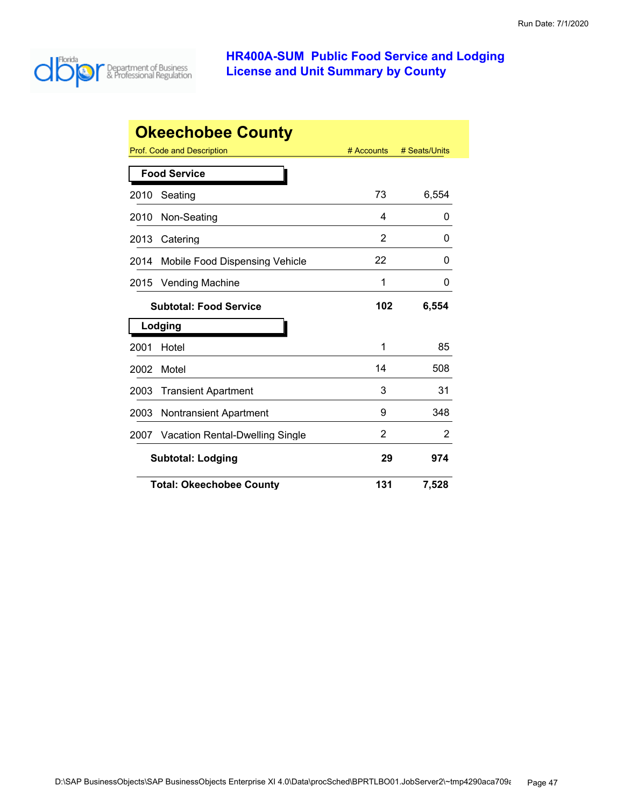

| <b>Okeechobee County</b>      |                                        |            |               |  |
|-------------------------------|----------------------------------------|------------|---------------|--|
|                               | Prof. Code and Description             | # Accounts | # Seats/Units |  |
|                               | <b>Food Service</b>                    |            |               |  |
| 2010                          | Seating                                | 73         | 6,554         |  |
| 2010                          | Non-Seating                            | 4          | 0             |  |
| 2013                          | Catering                               | 2          | 0             |  |
| 2014                          | Mobile Food Dispensing Vehicle         | 22         | 0             |  |
| 2015                          | <b>Vending Machine</b>                 | 1          | 0             |  |
| <b>Subtotal: Food Service</b> |                                        | 102        | 6,554         |  |
|                               | Lodging                                |            |               |  |
| 2001                          | Hotel                                  | 1          | 85            |  |
| 2002                          | Motel                                  | 14         | 508           |  |
| 2003                          | <b>Transient Apartment</b>             | 3          | 31            |  |
| 2003                          | <b>Nontransient Apartment</b>          | 9          | 348           |  |
| 2007                          | <b>Vacation Rental-Dwelling Single</b> | 2          | 2             |  |
|                               | <b>Subtotal: Lodging</b>               | 29         | 974           |  |
|                               | <b>Total: Okeechobee County</b>        | 131        | 7,528         |  |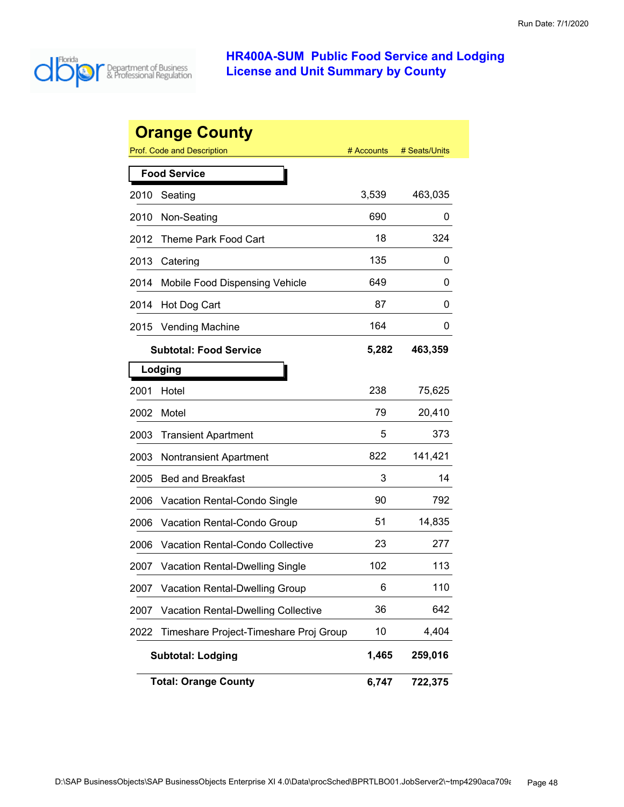

|      | <b>Orange County</b>                   |            |               |
|------|----------------------------------------|------------|---------------|
|      | <b>Prof. Code and Description</b>      | # Accounts | # Seats/Units |
|      | <b>Food Service</b>                    |            |               |
| 2010 | Seating                                | 3,539      | 463,035       |
| 2010 | Non-Seating                            | 690        | 0             |
| 2012 | Theme Park Food Cart                   | 18         | 324           |
| 2013 | Catering                               | 135        | 0             |
| 2014 | Mobile Food Dispensing Vehicle         | 649        | 0             |
| 2014 | Hot Dog Cart                           | 87         | 0             |
| 2015 | <b>Vending Machine</b>                 | 164        | 0             |
|      | <b>Subtotal: Food Service</b>          | 5,282      | 463,359       |
|      | Lodging                                |            |               |
| 2001 | Hotel                                  | 238        | 75,625        |
| 2002 | Motel                                  | 79         | 20,410        |
| 2003 | <b>Transient Apartment</b>             | 5          | 373           |
| 2003 | <b>Nontransient Apartment</b>          | 822        | 141,421       |
| 2005 | <b>Bed and Breakfast</b>               | 3          | 14            |
| 2006 | Vacation Rental-Condo Single           | 90         | 792           |
| 2006 | Vacation Rental-Condo Group            | 51         | 14,835        |
| 2006 | Vacation Rental-Condo Collective       | 23         | 277           |
| 2007 | <b>Vacation Rental-Dwelling Single</b> | 102        | 113           |
| 2007 | Vacation Rental-Dwelling Group         | 6          | 110           |
| 2007 | Vacation Rental-Dwelling Collective    | 36         | 642           |
| 2022 | Timeshare Project-Timeshare Proj Group | 10         | 4,404         |
|      | <b>Subtotal: Lodging</b>               | 1,465      | 259,016       |
|      | <b>Total: Orange County</b>            | 6,747      | 722,375       |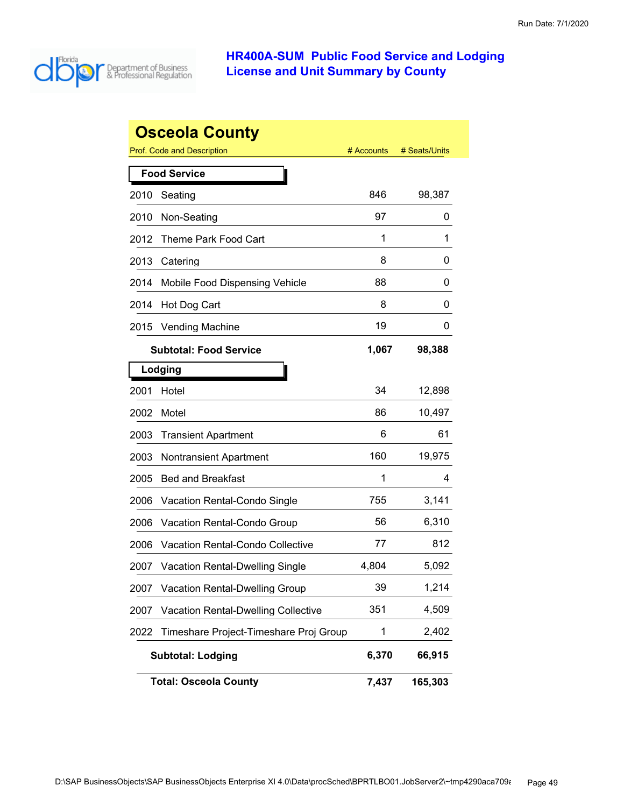

|      | <b>Osceola County</b>                      |            |               |
|------|--------------------------------------------|------------|---------------|
|      | <b>Prof. Code and Description</b>          | # Accounts | # Seats/Units |
|      | <b>Food Service</b>                        |            |               |
| 2010 | Seating                                    | 846        | 98,387        |
| 2010 | Non-Seating                                | 97         | 0             |
| 2012 | Theme Park Food Cart                       | 1          | 1             |
| 2013 | Catering                                   | 8          | 0             |
| 2014 | Mobile Food Dispensing Vehicle             | 88         | 0             |
| 2014 | Hot Dog Cart                               | 8          | 0             |
| 2015 | <b>Vending Machine</b>                     | 19         | 0             |
|      | <b>Subtotal: Food Service</b>              | 1,067      | 98,388        |
|      | Lodging                                    |            |               |
| 2001 | Hotel                                      | 34         | 12,898        |
| 2002 | Motel                                      | 86         | 10,497        |
| 2003 | <b>Transient Apartment</b>                 | 6          | 61            |
| 2003 | Nontransient Apartment                     | 160        | 19,975        |
| 2005 | <b>Bed and Breakfast</b>                   | 1          | 4             |
| 2006 | Vacation Rental-Condo Single               | 755        | 3,141         |
| 2006 | Vacation Rental-Condo Group                | 56         | 6,310         |
| 2006 | Vacation Rental-Condo Collective           | 77         | 812           |
| 2007 | <b>Vacation Rental-Dwelling Single</b>     | 4,804      | 5,092         |
| 2007 | <b>Vacation Rental-Dwelling Group</b>      | 39         | 1,214         |
| 2007 | <b>Vacation Rental-Dwelling Collective</b> | 351        | 4,509         |
| 2022 | Timeshare Project-Timeshare Proj Group     | 1          | 2,402         |
|      | <b>Subtotal: Lodging</b>                   | 6,370      | 66,915        |
|      | <b>Total: Osceola County</b>               | 7,437      | 165,303       |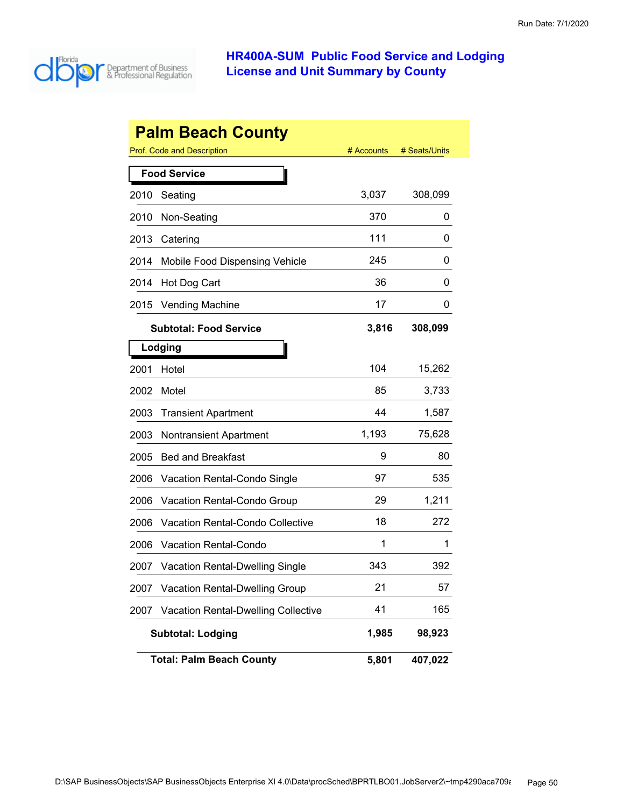

|      | <b>Palm Beach County</b>                   |            |               |
|------|--------------------------------------------|------------|---------------|
|      | <b>Prof. Code and Description</b>          | # Accounts | # Seats/Units |
|      | <b>Food Service</b>                        |            |               |
| 2010 | Seating                                    | 3,037      | 308,099       |
| 2010 | Non-Seating                                | 370        | 0             |
| 2013 | Catering                                   | 111        | 0             |
| 2014 | Mobile Food Dispensing Vehicle             | 245        | 0             |
| 2014 | Hot Dog Cart                               | 36         | 0             |
| 2015 | <b>Vending Machine</b>                     | 17         | 0             |
|      | <b>Subtotal: Food Service</b>              | 3,816      | 308,099       |
|      | Lodging                                    |            |               |
| 2001 | Hotel                                      | 104        | 15,262        |
| 2002 | Motel                                      | 85         | 3,733         |
| 2003 | <b>Transient Apartment</b>                 | 44         | 1,587         |
| 2003 | <b>Nontransient Apartment</b>              | 1,193      | 75,628        |
| 2005 | <b>Bed and Breakfast</b>                   | 9          | 80            |
| 2006 | Vacation Rental-Condo Single               | 97         | 535           |
| 2006 | Vacation Rental-Condo Group                | 29         | 1,211         |
| 2006 | Vacation Rental-Condo Collective           | 18         | 272           |
| 2006 | <b>Vacation Rental-Condo</b>               | 1          | 1             |
| 2007 | <b>Vacation Rental-Dwelling Single</b>     | 343        | 392           |
| 2007 | <b>Vacation Rental-Dwelling Group</b>      | 21         | 57            |
| 2007 | <b>Vacation Rental-Dwelling Collective</b> | 41         | 165           |
|      | <b>Subtotal: Lodging</b>                   | 1,985      | 98,923        |
|      | <b>Total: Palm Beach County</b>            | 5,801      | 407,022       |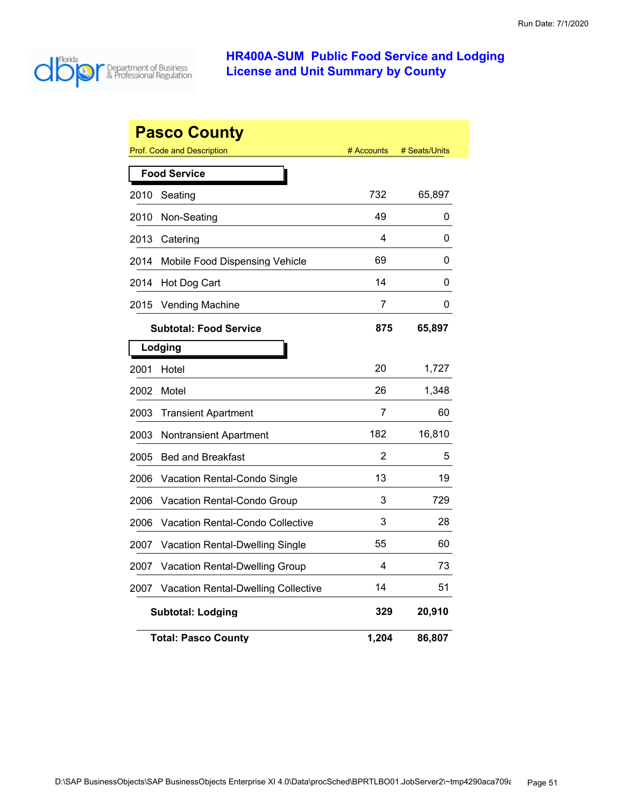

|      | <b>Pasco County</b><br><b>Prof. Code and Description</b> | # Accounts | # Seats/Units |
|------|----------------------------------------------------------|------------|---------------|
|      |                                                          |            |               |
|      | <b>Food Service</b>                                      |            |               |
| 2010 | Seating                                                  | 732        | 65,897        |
| 2010 | Non-Seating                                              | 49         | 0             |
| 2013 | Catering                                                 | 4          | 0             |
| 2014 | Mobile Food Dispensing Vehicle                           | 69         | 0             |
| 2014 | Hot Dog Cart                                             | 14         | 0             |
| 2015 | <b>Vending Machine</b>                                   | 7          | 0             |
|      | <b>Subtotal: Food Service</b>                            | 875        | 65,897        |
|      | Lodging                                                  |            |               |
| 2001 | Hotel                                                    | 20         | 1,727         |
| 2002 | Motel                                                    | 26         | 1,348         |
| 2003 | <b>Transient Apartment</b>                               | 7          | 60            |
| 2003 | <b>Nontransient Apartment</b>                            | 182        | 16,810        |
| 2005 | <b>Bed and Breakfast</b>                                 | 2          | 5             |
| 2006 | Vacation Rental-Condo Single                             | 13         | 19            |
| 2006 | Vacation Rental-Condo Group                              | 3          | 729           |
| 2006 | Vacation Rental-Condo Collective                         | 3          | 28            |
| 2007 | Vacation Rental-Dwelling Single                          | 55         | 60            |
| 2007 | <b>Vacation Rental-Dwelling Group</b>                    | 4          | 73            |
| 2007 | Vacation Rental-Dwelling Collective                      | 14         | 51            |
|      | <b>Subtotal: Lodging</b>                                 | 329        | 20,910        |
|      | <b>Total: Pasco County</b>                               | 1,204      | 86,807        |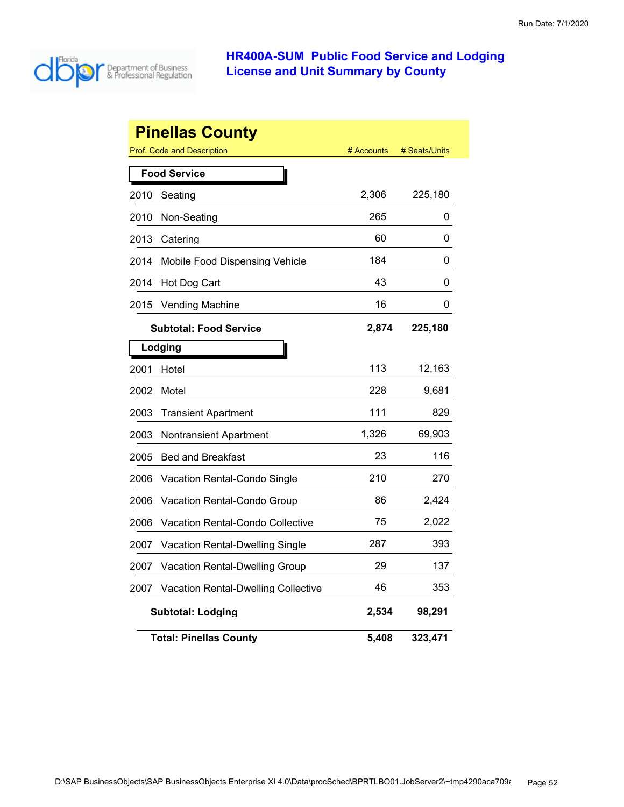

|      | <b>Pinellas County</b>              |            |               |
|------|-------------------------------------|------------|---------------|
|      | <b>Prof. Code and Description</b>   | # Accounts | # Seats/Units |
|      | <b>Food Service</b>                 |            |               |
| 2010 | Seating                             | 2,306      | 225,180       |
| 2010 | Non-Seating                         | 265        | 0             |
| 2013 | Catering                            | 60         | 0             |
| 2014 | Mobile Food Dispensing Vehicle      | 184        | 0             |
| 2014 | Hot Dog Cart                        | 43         | 0             |
| 2015 | <b>Vending Machine</b>              | 16         | 0             |
|      | <b>Subtotal: Food Service</b>       | 2,874      | 225,180       |
|      | Lodging                             |            |               |
| 2001 | Hotel                               | 113        | 12,163        |
| 2002 | Motel                               | 228        | 9,681         |
| 2003 | <b>Transient Apartment</b>          | 111        | 829           |
| 2003 | <b>Nontransient Apartment</b>       | 1,326      | 69,903        |
| 2005 | <b>Bed and Breakfast</b>            | 23         | 116           |
| 2006 | Vacation Rental-Condo Single        | 210        | 270           |
| 2006 | Vacation Rental-Condo Group         | 86         | 2,424         |
| 2006 | Vacation Rental-Condo Collective    | 75         | 2,022         |
| 2007 | Vacation Rental-Dwelling Single     | 287        | 393           |
| 2007 | Vacation Rental-Dwelling Group      | 29         | 137           |
| 2007 | Vacation Rental-Dwelling Collective | 46         | 353           |
|      | <b>Subtotal: Lodging</b>            | 2,534      | 98,291        |
|      | <b>Total: Pinellas County</b>       | 5,408      | 323,471       |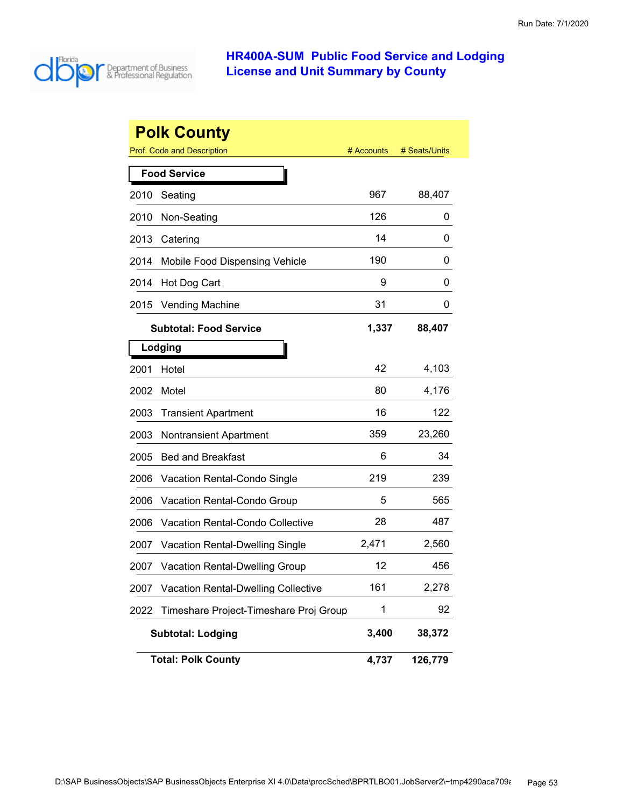

|      | <b>Polk County</b>                         |            |               |
|------|--------------------------------------------|------------|---------------|
|      | <b>Prof. Code and Description</b>          | # Accounts | # Seats/Units |
|      | <b>Food Service</b>                        |            |               |
| 2010 | Seating                                    | 967        | 88,407        |
| 2010 | Non-Seating                                | 126        | 0             |
| 2013 | Catering                                   | 14         | 0             |
| 2014 | Mobile Food Dispensing Vehicle             | 190        | 0             |
| 2014 | Hot Dog Cart                               | 9          | 0             |
| 2015 | <b>Vending Machine</b>                     | 31         | 0             |
|      | <b>Subtotal: Food Service</b>              | 1,337      | 88,407        |
|      | Lodging                                    |            |               |
| 2001 | Hotel                                      | 42         | 4,103         |
| 2002 | Motel                                      | 80         | 4,176         |
| 2003 | <b>Transient Apartment</b>                 | 16         | 122           |
| 2003 | <b>Nontransient Apartment</b>              | 359        | 23,260        |
| 2005 | <b>Bed and Breakfast</b>                   | 6          | 34            |
| 2006 | <b>Vacation Rental-Condo Single</b>        | 219        | 239           |
| 2006 | Vacation Rental-Condo Group                | 5          | 565           |
| 2006 | <b>Vacation Rental-Condo Collective</b>    | 28         | 487           |
| 2007 | <b>Vacation Rental-Dwelling Single</b>     | 2,471      | 2,560         |
| 2007 | <b>Vacation Rental-Dwelling Group</b>      | 12         | 456           |
| 2007 | <b>Vacation Rental-Dwelling Collective</b> | 161        | 2,278         |
| 2022 | Timeshare Project-Timeshare Proj Group     | 1          | 92            |
|      | <b>Subtotal: Lodging</b>                   | 3,400      | 38,372        |
|      | <b>Total: Polk County</b>                  | 4,737      | 126,779       |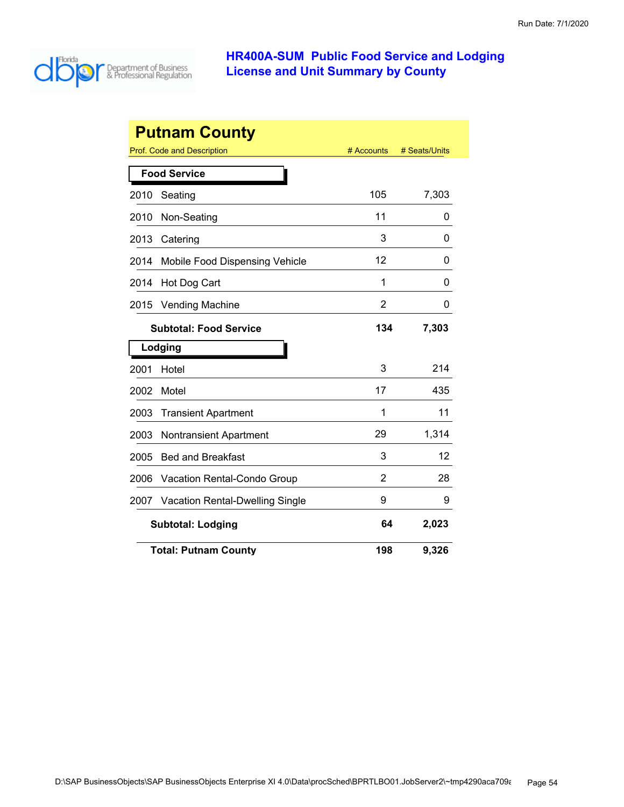

| <b>Putnam County</b> |                                        |            |               |  |  |
|----------------------|----------------------------------------|------------|---------------|--|--|
|                      | Prof. Code and Description             | # Accounts | # Seats/Units |  |  |
|                      | <b>Food Service</b>                    |            |               |  |  |
| 2010                 | Seating                                | 105        | 7,303         |  |  |
| 2010                 | Non-Seating                            | 11         | 0             |  |  |
| 2013                 | Catering                               | 3          | 0             |  |  |
| 2014                 | Mobile Food Dispensing Vehicle         | 12         | 0             |  |  |
| 2014                 | Hot Dog Cart                           | 1          | 0             |  |  |
| 2015                 | <b>Vending Machine</b>                 | 2          | 0             |  |  |
|                      | <b>Subtotal: Food Service</b>          | 134        | 7,303         |  |  |
|                      | Lodging                                |            |               |  |  |
| 2001                 | Hotel                                  | 3          | 214           |  |  |
| 2002                 | Motel                                  | 17         | 435           |  |  |
| 2003                 | <b>Transient Apartment</b>             | 1          | 11            |  |  |
| 2003                 | <b>Nontransient Apartment</b>          | 29         | 1,314         |  |  |
| 2005                 | <b>Bed and Breakfast</b>               | 3          | 12            |  |  |
| 2006                 | Vacation Rental-Condo Group            | 2          | 28            |  |  |
| 2007                 | <b>Vacation Rental-Dwelling Single</b> | 9          | 9             |  |  |
|                      | <b>Subtotal: Lodging</b>               | 64         | 2,023         |  |  |
|                      | <b>Total: Putnam County</b>            | 198        | 9,326         |  |  |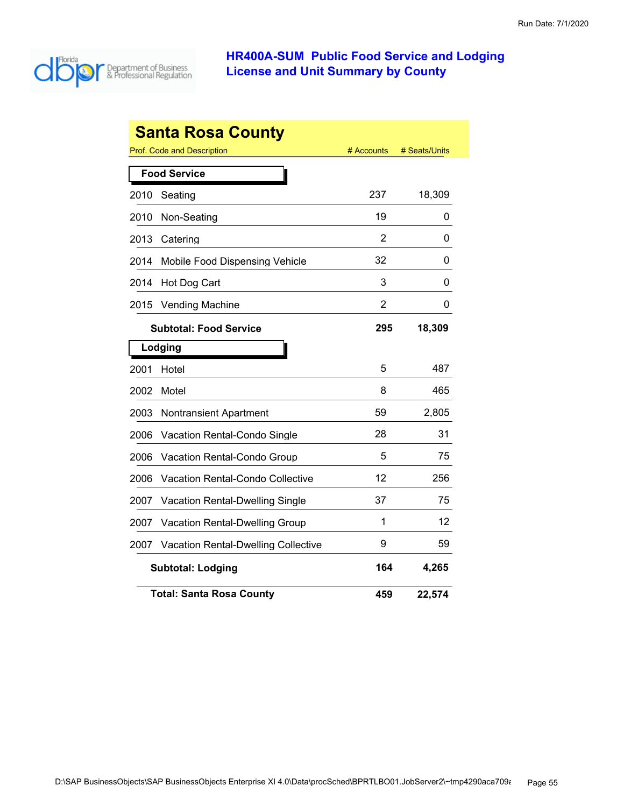

| <b>Santa Rosa County</b> |                                            |            |               |  |  |
|--------------------------|--------------------------------------------|------------|---------------|--|--|
|                          | Prof. Code and Description                 | # Accounts | # Seats/Units |  |  |
|                          | <b>Food Service</b>                        |            |               |  |  |
| 2010                     | Seating                                    | 237        | 18,309        |  |  |
| 2010                     | Non-Seating                                | 19         | 0             |  |  |
| 2013                     | Catering                                   | 2          | 0             |  |  |
| 2014                     | Mobile Food Dispensing Vehicle             | 32         | 0             |  |  |
| 2014                     | Hot Dog Cart                               | 3          | 0             |  |  |
| 2015                     | <b>Vending Machine</b>                     | 2          | 0             |  |  |
|                          | <b>Subtotal: Food Service</b>              | 295        | 18,309        |  |  |
|                          | Lodging                                    |            |               |  |  |
| 2001                     | Hotel                                      | 5          | 487           |  |  |
| 2002                     | Motel                                      | 8          | 465           |  |  |
| 2003                     | <b>Nontransient Apartment</b>              | 59         | 2,805         |  |  |
| 2006                     | <b>Vacation Rental-Condo Single</b>        | 28         | 31            |  |  |
| 2006                     | Vacation Rental-Condo Group                | 5          | 75            |  |  |
| 2006                     | <b>Vacation Rental-Condo Collective</b>    | 12         | 256           |  |  |
| 2007                     | Vacation Rental-Dwelling Single            | 37         | 75            |  |  |
| 2007                     | <b>Vacation Rental-Dwelling Group</b>      | 1          | 12            |  |  |
| 2007                     | <b>Vacation Rental-Dwelling Collective</b> | 9          | 59            |  |  |
|                          | <b>Subtotal: Lodging</b>                   | 164        | 4,265         |  |  |
|                          | <b>Total: Santa Rosa County</b>            | 459        | 22,574        |  |  |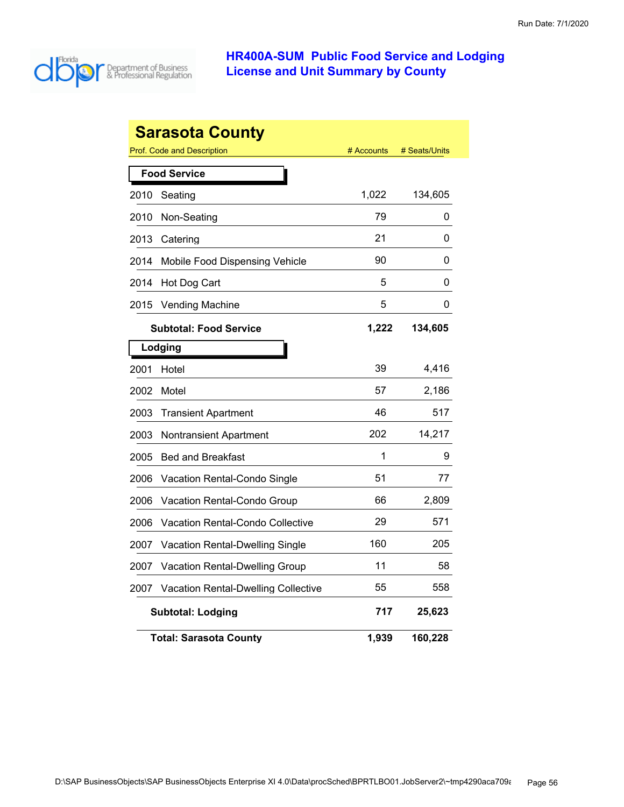

|      | Sarasota County                            |            |               |
|------|--------------------------------------------|------------|---------------|
|      | <b>Prof. Code and Description</b>          | # Accounts | # Seats/Units |
|      | <b>Food Service</b>                        |            |               |
| 2010 | Seating                                    | 1,022      | 134,605       |
| 2010 | Non-Seating                                | 79         | 0             |
| 2013 | Catering                                   | 21         | 0             |
| 2014 | Mobile Food Dispensing Vehicle             | 90         | 0             |
| 2014 | Hot Dog Cart                               | 5          | 0             |
| 2015 | <b>Vending Machine</b>                     | 5          | 0             |
|      | <b>Subtotal: Food Service</b>              | 1,222      | 134,605       |
|      | Lodging                                    |            |               |
| 2001 | Hotel                                      | 39         | 4,416         |
| 2002 | Motel                                      | 57         | 2,186         |
| 2003 | <b>Transient Apartment</b>                 | 46         | 517           |
| 2003 | Nontransient Apartment                     | 202        | 14,217        |
| 2005 | <b>Bed and Breakfast</b>                   | 1          | 9             |
| 2006 | Vacation Rental-Condo Single               | 51         | 77            |
| 2006 | Vacation Rental-Condo Group                | 66         | 2,809         |
| 2006 | <b>Vacation Rental-Condo Collective</b>    | 29         | 571           |
| 2007 | <b>Vacation Rental-Dwelling Single</b>     | 160        | 205           |
| 2007 | <b>Vacation Rental-Dwelling Group</b>      | 11         | 58            |
| 2007 | <b>Vacation Rental-Dwelling Collective</b> | 55         | 558           |
|      | <b>Subtotal: Lodging</b>                   | 717        | 25,623        |
|      | <b>Total: Sarasota County</b>              | 1,939      | 160,228       |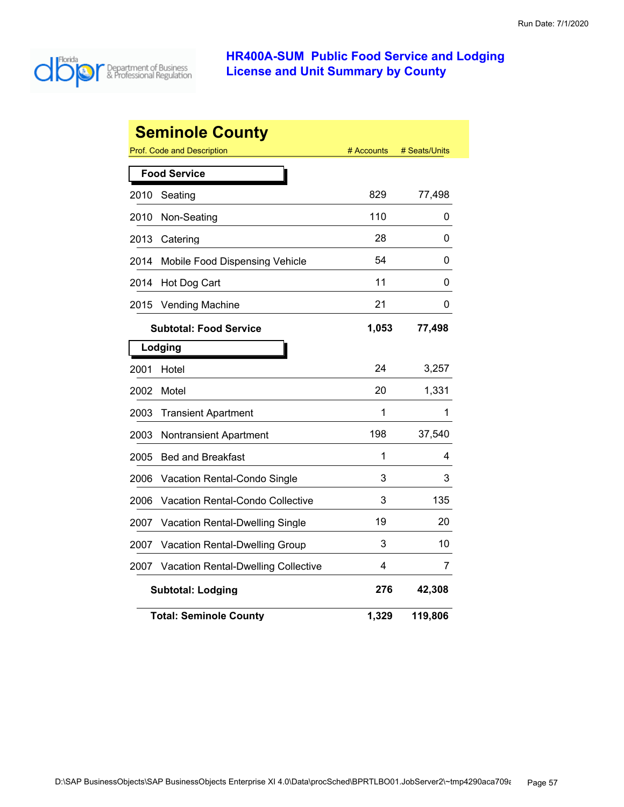

| <b>Seminole County</b> |                                                                  |       |         |  |  |  |
|------------------------|------------------------------------------------------------------|-------|---------|--|--|--|
|                        | <b>Prof. Code and Description</b><br># Accounts<br># Seats/Units |       |         |  |  |  |
|                        | <b>Food Service</b>                                              |       |         |  |  |  |
| 2010                   | Seating                                                          | 829   | 77,498  |  |  |  |
| 2010                   | Non-Seating                                                      | 110   | 0       |  |  |  |
| 2013                   | Catering                                                         | 28    | 0       |  |  |  |
| 2014                   | Mobile Food Dispensing Vehicle                                   | 54    | 0       |  |  |  |
| 2014                   | Hot Dog Cart                                                     | 11    | 0       |  |  |  |
| 2015                   | <b>Vending Machine</b>                                           | 21    | 0       |  |  |  |
|                        | <b>Subtotal: Food Service</b>                                    | 1,053 | 77,498  |  |  |  |
|                        | Lodging                                                          |       |         |  |  |  |
| 2001                   | Hotel                                                            | 24    | 3,257   |  |  |  |
| 2002                   | Motel                                                            | 20    | 1,331   |  |  |  |
| 2003                   | <b>Transient Apartment</b>                                       | 1     | 1       |  |  |  |
| 2003                   | Nontransient Apartment                                           | 198   | 37,540  |  |  |  |
| 2005                   | <b>Bed and Breakfast</b>                                         | 1     | 4       |  |  |  |
| 2006                   | Vacation Rental-Condo Single                                     | 3     | 3       |  |  |  |
| 2006                   | <b>Vacation Rental-Condo Collective</b>                          | 3     | 135     |  |  |  |
| 2007                   | Vacation Rental-Dwelling Single                                  | 19    | 20      |  |  |  |
| 2007                   | <b>Vacation Rental-Dwelling Group</b>                            | 3     | 10      |  |  |  |
| 2007                   | <b>Vacation Rental-Dwelling Collective</b>                       | 4     | 7       |  |  |  |
|                        | <b>Subtotal: Lodging</b>                                         | 276   | 42,308  |  |  |  |
|                        | <b>Total: Seminole County</b>                                    | 1,329 | 119,806 |  |  |  |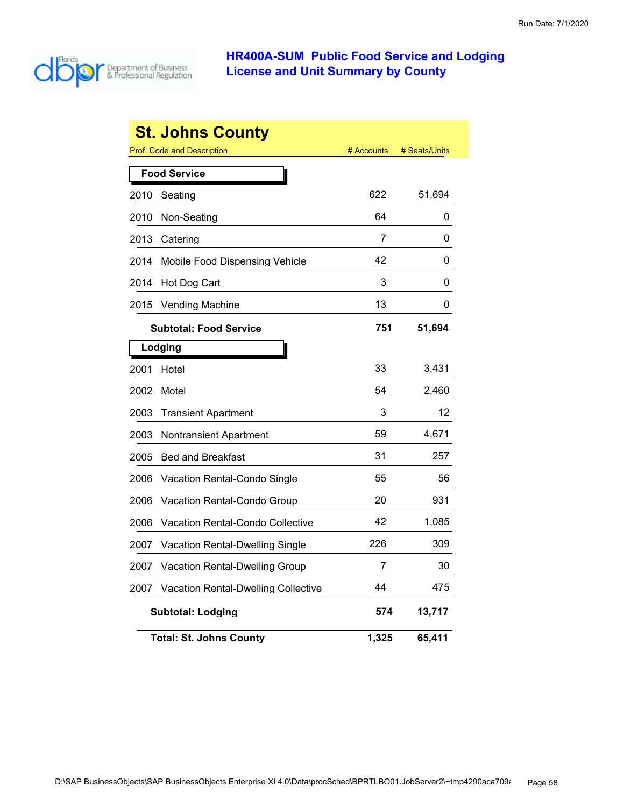

|      | <b>St. Johns County</b>                    |            |               |
|------|--------------------------------------------|------------|---------------|
|      | Prof. Code and Description                 | # Accounts | # Seats/Units |
|      | <b>Food Service</b>                        |            |               |
| 2010 | Seating                                    | 622        | 51,694        |
| 2010 | Non-Seating                                | 64         | 0             |
| 2013 | Catering                                   | 7          | 0             |
| 2014 | Mobile Food Dispensing Vehicle             | 42         | 0             |
| 2014 | Hot Dog Cart                               | 3          | 0             |
| 2015 | <b>Vending Machine</b>                     | 13         | 0             |
|      | <b>Subtotal: Food Service</b>              | 751        | 51,694        |
|      | Lodging                                    |            |               |
| 2001 | Hotel                                      | 33         | 3,431         |
| 2002 | Motel                                      | 54         | 2,460         |
| 2003 | <b>Transient Apartment</b>                 | 3          | 12            |
| 2003 | Nontransient Apartment                     | 59         | 4,671         |
| 2005 | <b>Bed and Breakfast</b>                   | 31         | 257           |
| 2006 | Vacation Rental-Condo Single               | 55         | 56            |
| 2006 | Vacation Rental-Condo Group                | 20         | 931           |
| 2006 | Vacation Rental-Condo Collective           | 42         | 1,085         |
| 2007 | Vacation Rental-Dwelling Single            | 226        | 309           |
| 2007 | Vacation Rental-Dwelling Group             | 7          | 30            |
| 2007 | <b>Vacation Rental-Dwelling Collective</b> | 44         | 475           |
|      | <b>Subtotal: Lodging</b>                   | 574        | 13,717        |
|      | <b>Total: St. Johns County</b>             | 1,325      | 65,411        |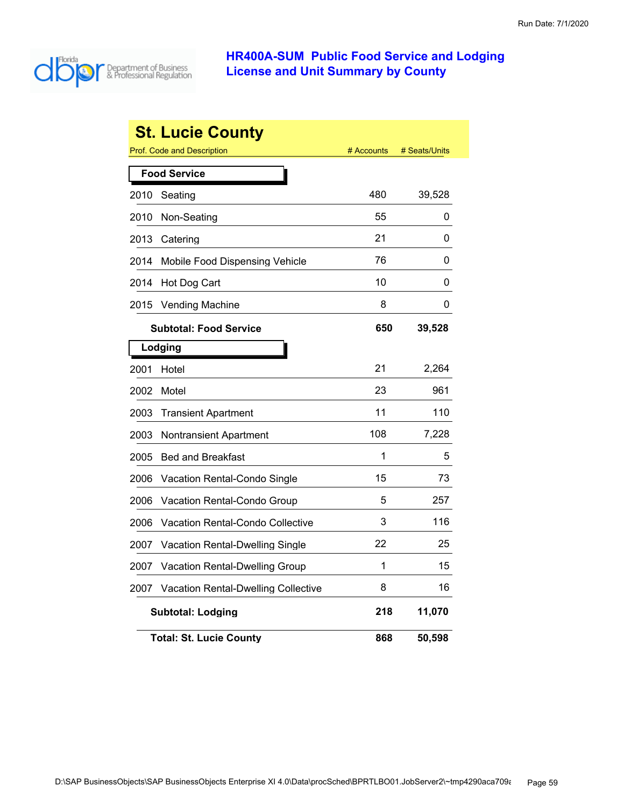

|      | <b>St. Lucie County</b>                    |            |               |
|------|--------------------------------------------|------------|---------------|
|      | Prof. Code and Description                 | # Accounts | # Seats/Units |
|      | <b>Food Service</b>                        |            |               |
| 2010 | Seating                                    | 480        | 39,528        |
| 2010 | Non-Seating                                | 55         | 0             |
| 2013 | Catering                                   | 21         | 0             |
| 2014 | Mobile Food Dispensing Vehicle             | 76         | 0             |
| 2014 | Hot Dog Cart                               | 10         | 0             |
| 2015 | <b>Vending Machine</b>                     | 8          | 0             |
|      | <b>Subtotal: Food Service</b>              | 650        | 39,528        |
|      | Lodging                                    |            |               |
| 2001 | Hotel                                      | 21         | 2,264         |
| 2002 | Motel                                      | 23         | 961           |
| 2003 | <b>Transient Apartment</b>                 | 11         | 110           |
| 2003 | Nontransient Apartment                     | 108        | 7,228         |
| 2005 | <b>Bed and Breakfast</b>                   | 1          | 5             |
| 2006 | Vacation Rental-Condo Single               | 15         | 73            |
| 2006 | Vacation Rental-Condo Group                | 5          | 257           |
| 2006 | Vacation Rental-Condo Collective           | 3          | 116           |
| 2007 | Vacation Rental-Dwelling Single            | 22         | 25            |
| 2007 | Vacation Rental-Dwelling Group             | 1          | 15            |
| 2007 | <b>Vacation Rental-Dwelling Collective</b> | 8          | 16            |
|      | <b>Subtotal: Lodging</b>                   | 218        | 11,070        |
|      | <b>Total: St. Lucie County</b>             | 868        | 50,598        |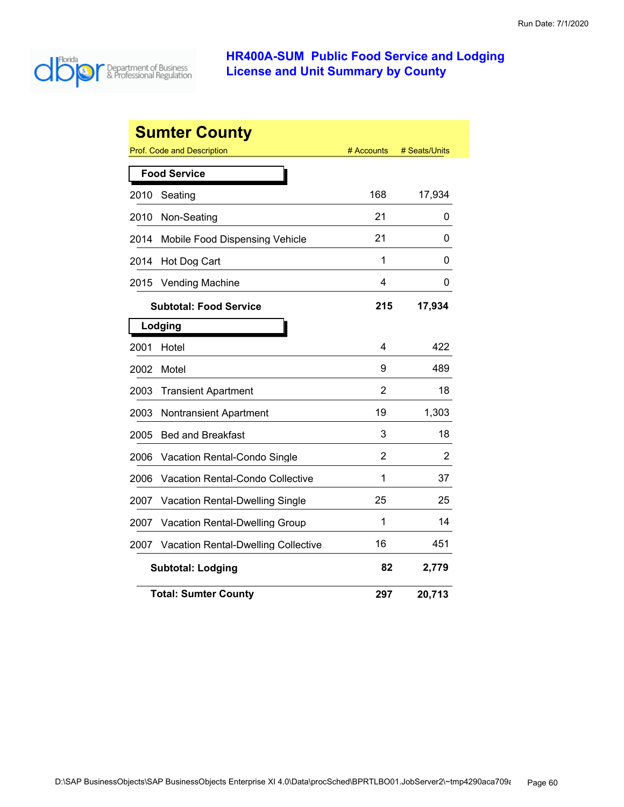

|      | <b>Sumter County</b>                       |            |               |
|------|--------------------------------------------|------------|---------------|
|      | <b>Prof. Code and Description</b>          | # Accounts | # Seats/Units |
|      | <b>Food Service</b>                        |            |               |
| 2010 | Seating                                    | 168        | 17,934        |
| 2010 | Non-Seating                                | 21         | 0             |
| 2014 | Mobile Food Dispensing Vehicle             | 21         | 0             |
| 2014 | Hot Dog Cart                               | 1          | 0             |
| 2015 | <b>Vending Machine</b>                     | 4          | 0             |
|      | <b>Subtotal: Food Service</b>              | 215        | 17,934        |
|      | Lodging                                    |            |               |
| 2001 | Hotel                                      | 4          | 422           |
| 2002 | Motel                                      | 9          | 489           |
| 2003 | <b>Transient Apartment</b>                 | 2          | 18            |
| 2003 | Nontransient Apartment                     | 19         | 1,303         |
| 2005 | <b>Bed and Breakfast</b>                   | 3          | 18            |
| 2006 | Vacation Rental-Condo Single               | 2          | 2             |
| 2006 | <b>Vacation Rental-Condo Collective</b>    | 1          | 37            |
| 2007 | Vacation Rental-Dwelling Single            | 25         | 25            |
| 2007 | <b>Vacation Rental-Dwelling Group</b>      | 1          | 14            |
| 2007 | <b>Vacation Rental-Dwelling Collective</b> | 16         | 451           |
|      | <b>Subtotal: Lodging</b>                   | 82         | 2,779         |
|      | <b>Total: Sumter County</b>                | 297        | 20,713        |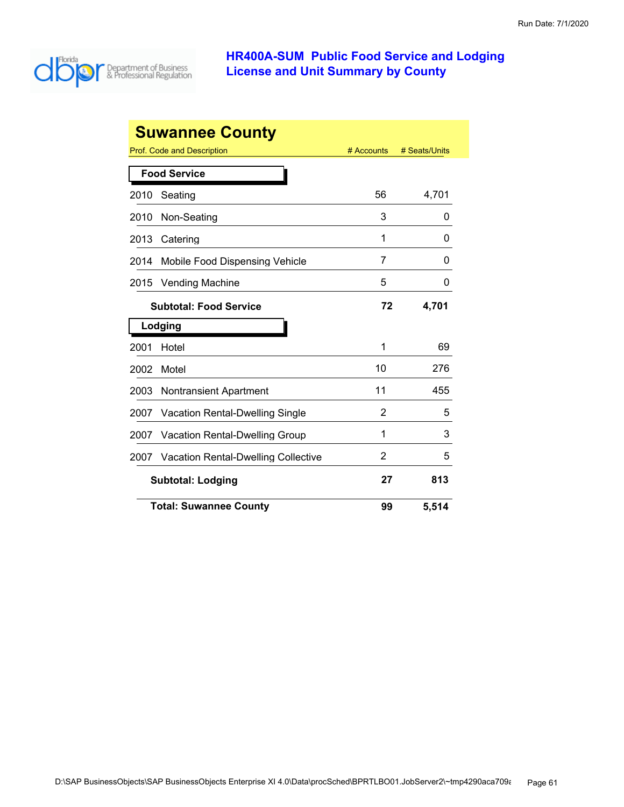

|                          | <b>Suwannee County</b>                     |            |               |  |
|--------------------------|--------------------------------------------|------------|---------------|--|
|                          | Prof. Code and Description                 | # Accounts | # Seats/Units |  |
|                          | <b>Food Service</b>                        |            |               |  |
| 2010                     | Seating                                    | 56         | 4,701         |  |
| 2010                     | Non-Seating                                | 3          | 0             |  |
| 2013                     | Catering                                   | 1          | 0             |  |
| 2014                     | Mobile Food Dispensing Vehicle             | 7          | O             |  |
| 2015                     | <b>Vending Machine</b>                     | 5          | 0             |  |
|                          | <b>Subtotal: Food Service</b>              | 72         | 4,701         |  |
|                          | Lodging                                    |            |               |  |
| 2001                     | Hotel                                      | 1          | 69            |  |
| 2002                     | Motel                                      | 10         | 276           |  |
| 2003                     | <b>Nontransient Apartment</b>              | 11         | 455           |  |
| 2007                     | <b>Vacation Rental-Dwelling Single</b>     | 2          | 5             |  |
| 2007                     | <b>Vacation Rental-Dwelling Group</b>      | 1          | 3             |  |
| 2007                     | <b>Vacation Rental-Dwelling Collective</b> | 2          | 5             |  |
| <b>Subtotal: Lodging</b> |                                            | 27         | 813           |  |
|                          | <b>Total: Suwannee County</b>              | 99         | 5,514         |  |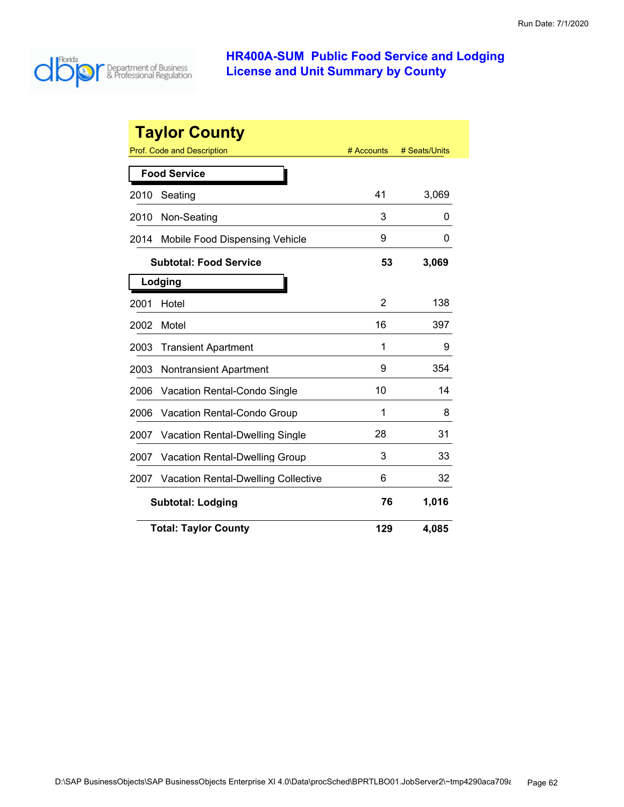

|                          | <b>Taylor County</b>                       |            |               |
|--------------------------|--------------------------------------------|------------|---------------|
|                          | Prof. Code and Description                 | # Accounts | # Seats/Units |
|                          | <b>Food Service</b>                        |            |               |
| 2010                     | Seating                                    | 41         | 3,069         |
| 2010                     | Non-Seating                                | 3          | 0             |
| 2014                     | Mobile Food Dispensing Vehicle             | 9          | O             |
|                          | <b>Subtotal: Food Service</b>              | 53         | 3,069         |
|                          | Lodging                                    |            |               |
| 2001                     | Hotel                                      | 2          | 138           |
| 2002                     | Motel                                      | 16         | 397           |
| 2003                     | <b>Transient Apartment</b>                 | 1          | 9             |
| 2003                     | <b>Nontransient Apartment</b>              | 9          | 354           |
| 2006                     | <b>Vacation Rental-Condo Single</b>        | 10         | 14            |
| 2006                     | <b>Vacation Rental-Condo Group</b>         | 1          | 8             |
| 2007                     | <b>Vacation Rental-Dwelling Single</b>     | 28         | 31            |
| 2007                     | <b>Vacation Rental-Dwelling Group</b>      | 3          | 33            |
| 2007                     | <b>Vacation Rental-Dwelling Collective</b> | 6          | 32            |
| <b>Subtotal: Lodging</b> |                                            | 76         | 1,016         |
|                          | <b>Total: Taylor County</b>                | 129        | 4,085         |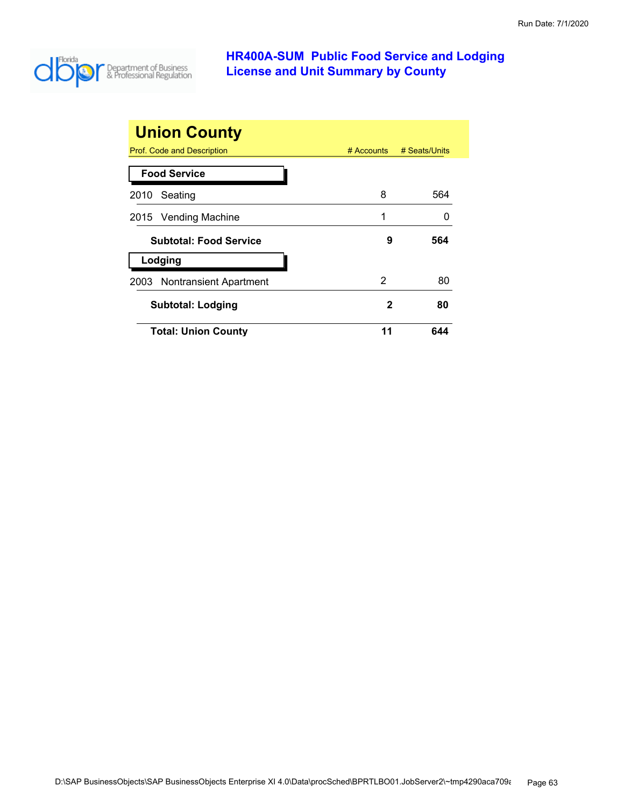

| <b>Union County</b>           |    |                          |
|-------------------------------|----|--------------------------|
| Prof. Code and Description    |    | # Accounts # Seats/Units |
| <b>Food Service</b>           |    |                          |
| 2010 Seating                  | 8  | 564                      |
| 2015 Vending Machine          | 1  |                          |
| <b>Subtotal: Food Service</b> | 9  | 564                      |
| Lodging                       |    |                          |
| 2003 Nontransient Apartment   | 2  | 80                       |
| <b>Subtotal: Lodging</b>      | 2  | 80                       |
| <b>Total: Union County</b>    | 11 | 644                      |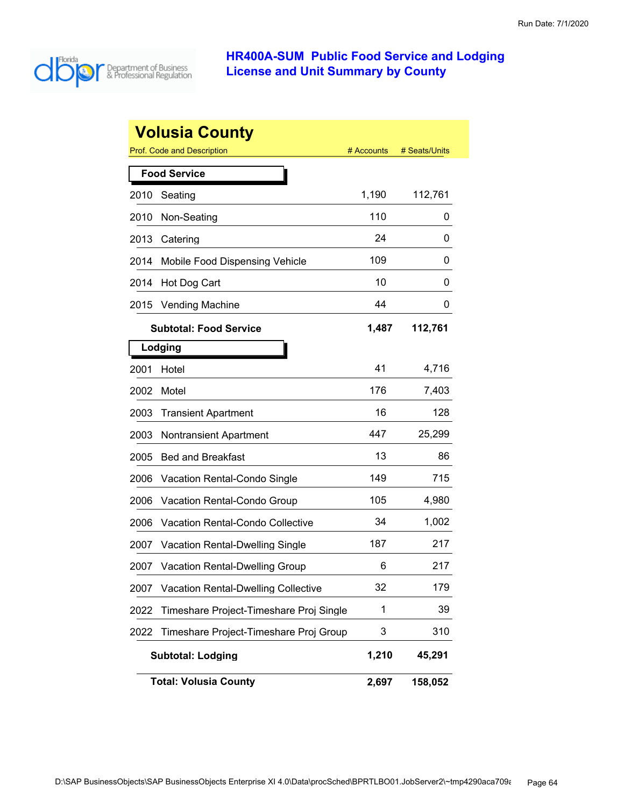

|      | <b>Volusia County</b>                      |            |               |
|------|--------------------------------------------|------------|---------------|
|      | <b>Prof. Code and Description</b>          | # Accounts | # Seats/Units |
|      | <b>Food Service</b>                        |            |               |
| 2010 | Seating                                    | 1,190      | 112,761       |
| 2010 | Non-Seating                                | 110        | 0             |
| 2013 | Catering                                   | 24         | 0             |
| 2014 | Mobile Food Dispensing Vehicle             | 109        | 0             |
| 2014 | Hot Dog Cart                               | 10         | 0             |
| 2015 | <b>Vending Machine</b>                     | 44         | 0             |
|      | <b>Subtotal: Food Service</b>              | 1,487      | 112,761       |
|      | Lodging                                    |            |               |
| 2001 | Hotel                                      | 41         | 4,716         |
| 2002 | Motel                                      | 176        | 7,403         |
| 2003 | <b>Transient Apartment</b>                 | 16         | 128           |
| 2003 | <b>Nontransient Apartment</b>              | 447        | 25,299        |
| 2005 | <b>Bed and Breakfast</b>                   | 13         | 86            |
| 2006 | Vacation Rental-Condo Single               | 149        | 715           |
| 2006 | Vacation Rental-Condo Group                | 105        | 4,980         |
| 2006 | <b>Vacation Rental-Condo Collective</b>    | 34         | 1,002         |
| 2007 | <b>Vacation Rental-Dwelling Single</b>     | 187        | 217           |
| 2007 | Vacation Rental-Dwelling Group             | 6          | 217           |
| 2007 | <b>Vacation Rental-Dwelling Collective</b> | 32         | 179           |
| 2022 | Timeshare Project-Timeshare Proj Single    | 1          | 39            |
| 2022 | Timeshare Project-Timeshare Proj Group     | 3          | 310           |
|      | <b>Subtotal: Lodging</b>                   | 1,210      | 45,291        |
|      | <b>Total: Volusia County</b>               | 2,697      | 158,052       |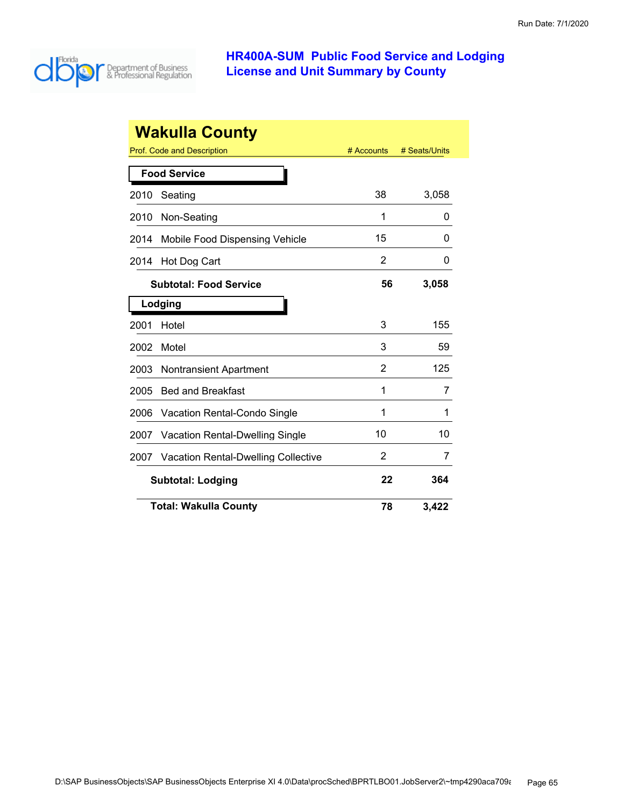

|                          | <b>Wakulla County</b>                      |                |               |
|--------------------------|--------------------------------------------|----------------|---------------|
|                          | Prof. Code and Description                 | # Accounts     | # Seats/Units |
|                          | <b>Food Service</b>                        |                |               |
| 2010                     | Seating                                    | 38             | 3,058         |
| 2010                     | Non-Seating                                | 1              | 0             |
| 2014                     | Mobile Food Dispensing Vehicle             | 15             | 0             |
| 2014                     | Hot Dog Cart                               | $\overline{2}$ | 0             |
|                          | <b>Subtotal: Food Service</b>              | 56             | 3,058         |
|                          | Lodging                                    |                |               |
| 2001                     | Hotel                                      | 3              | 155           |
| 2002                     | Motel                                      | 3              | 59            |
| 2003                     | <b>Nontransient Apartment</b>              | 2              | 125           |
| 2005                     | <b>Bed and Breakfast</b>                   | 1              | 7             |
| 2006                     | Vacation Rental-Condo Single               | 1              | 1             |
| 2007                     | Vacation Rental-Dwelling Single            | 10             | 10            |
| 2007                     | <b>Vacation Rental-Dwelling Collective</b> | 2              | 7             |
| <b>Subtotal: Lodging</b> |                                            | 22             | 364           |
|                          | <b>Total: Wakulla County</b>               | 78             | 3,422         |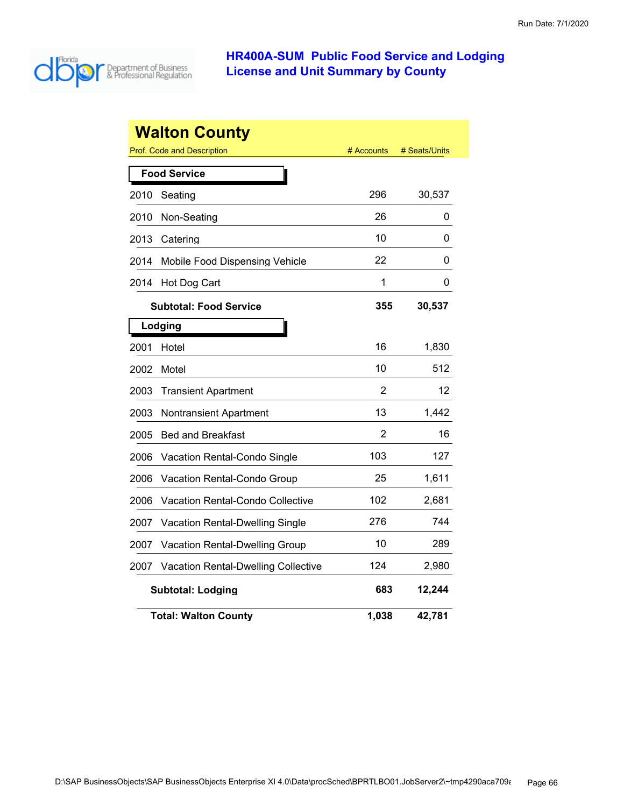

|      | <b>Walton County</b><br>Prof. Code and Description | # Accounts | # Seats/Units |
|------|----------------------------------------------------|------------|---------------|
|      |                                                    |            |               |
|      | <b>Food Service</b>                                |            |               |
| 2010 | Seating                                            | 296        | 30,537        |
| 2010 | Non-Seating                                        | 26         | 0             |
| 2013 | Catering                                           | 10         | 0             |
| 2014 | Mobile Food Dispensing Vehicle                     | 22         | 0             |
| 2014 | Hot Dog Cart                                       | 1          | 0             |
|      | <b>Subtotal: Food Service</b>                      | 355        | 30,537        |
|      | Lodging                                            |            |               |
| 2001 | Hotel                                              | 16         | 1,830         |
| 2002 | Motel                                              | 10         | 512           |
| 2003 | <b>Transient Apartment</b>                         | 2          | 12            |
| 2003 | <b>Nontransient Apartment</b>                      | 13         | 1,442         |
| 2005 | <b>Bed and Breakfast</b>                           | 2          | 16            |
| 2006 | Vacation Rental-Condo Single                       | 103        | 127           |
| 2006 | Vacation Rental-Condo Group                        | 25         | 1,611         |
| 2006 | <b>Vacation Rental-Condo Collective</b>            | 102        | 2,681         |
| 2007 | Vacation Rental-Dwelling Single                    | 276        | 744           |
| 2007 | <b>Vacation Rental-Dwelling Group</b>              | 10         | 289           |
| 2007 | <b>Vacation Rental-Dwelling Collective</b>         | 124        | 2,980         |
|      | <b>Subtotal: Lodging</b>                           | 683        | 12,244        |
|      | <b>Total: Walton County</b>                        | 1,038      | 42,781        |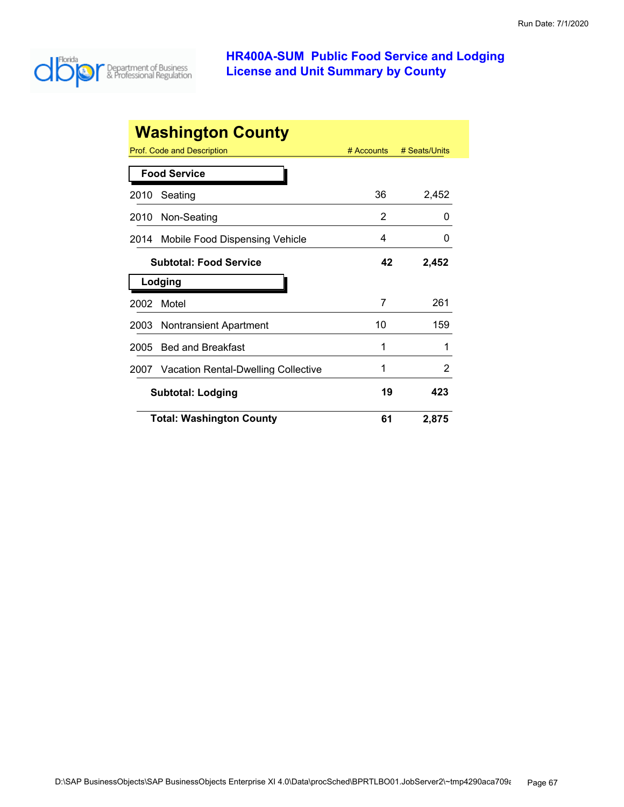

|      | <b>Washington County</b>                 |            |               |
|------|------------------------------------------|------------|---------------|
|      | Prof. Code and Description               | # Accounts | # Seats/Units |
|      | <b>Food Service</b>                      |            |               |
| 2010 | Seating                                  | 36         | 2,452         |
| 2010 | Non-Seating                              | 2          | $\mathbf{0}$  |
| 2014 | Mobile Food Dispensing Vehicle           | 4          | $\mathbf{0}$  |
|      | <b>Subtotal: Food Service</b>            | 42         | 2,452         |
|      | Lodging                                  |            |               |
| 2002 | Motel                                    | 7          | 261           |
| 2003 | <b>Nontransient Apartment</b>            | 10         | 159           |
| 2005 | <b>Bed and Breakfast</b>                 | 1          |               |
|      | 2007 Vacation Rental-Dwelling Collective | 1          | 2             |
|      | <b>Subtotal: Lodging</b>                 | 19         | 423           |
|      | <b>Total: Washington County</b>          | 61         | 2,875         |